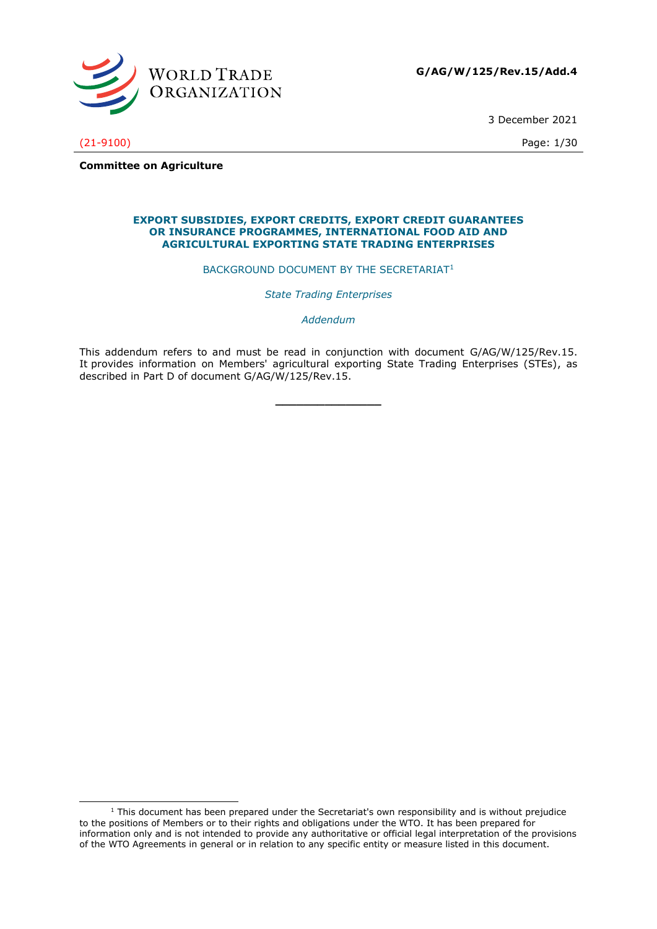

3 December 2021

(21-9100) Page: 1/30

**Committee on Agriculture**

#### **EXPORT SUBSIDIES, EXPORT CREDITS, EXPORT CREDIT GUARANTEES OR INSURANCE PROGRAMMES, INTERNATIONAL FOOD AID AND AGRICULTURAL EXPORTING STATE TRADING ENTERPRISES**

BACKGROUND DOCUMENT BY THE SECRETARIAT<sup>1</sup>

*State Trading Enterprises*

*Addendum*

This addendum refers to and must be read in conjunction with document G/AG/W/125/Rev.15. It provides information on Members' agricultural exporting State Trading Enterprises (STEs), as described in Part D of document G/AG/W/125/Rev.15.

**\_\_\_\_\_\_\_\_\_\_\_\_\_\_\_**

 $1$  This document has been prepared under the Secretariat's own responsibility and is without prejudice to the positions of Members or to their rights and obligations under the WTO. It has been prepared for information only and is not intended to provide any authoritative or official legal interpretation of the provisions of the WTO Agreements in general or in relation to any specific entity or measure listed in this document.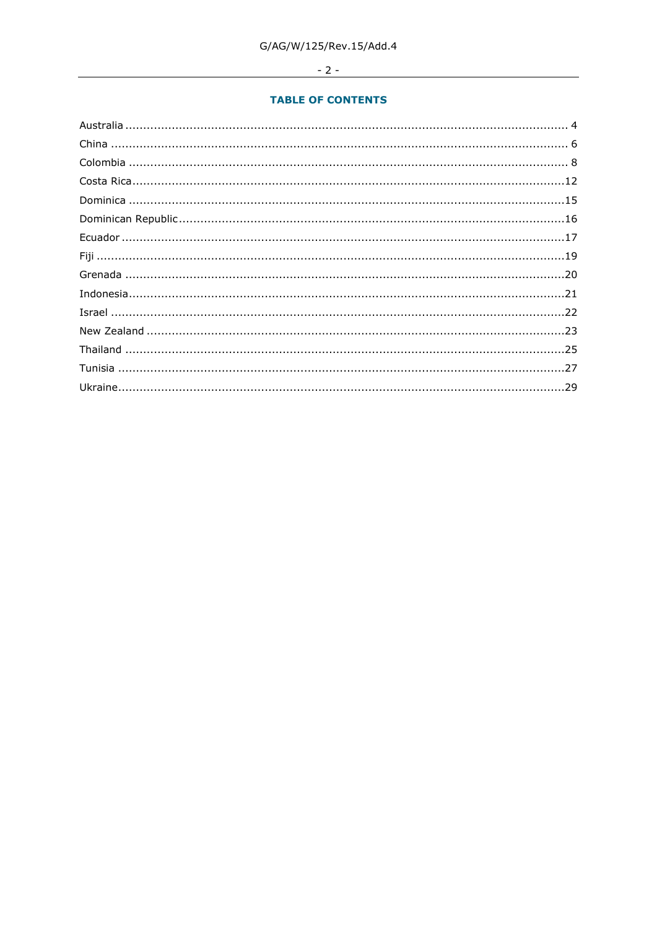# $-2-$

## **TABLE OF CONTENTS**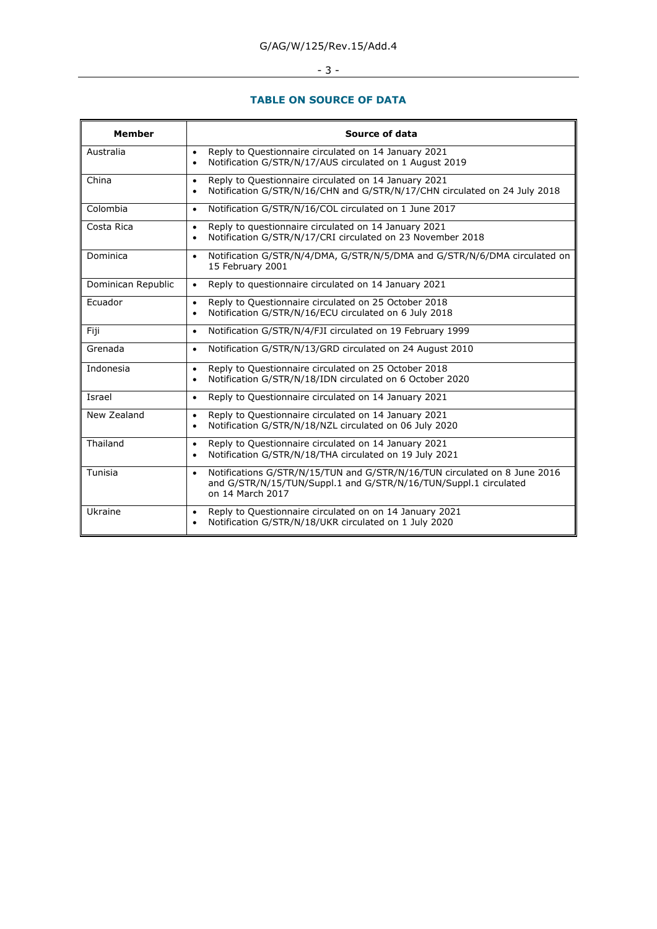# - <u>3 - 2000 - 2000 - 2000 - 2000 - 2000 - 2000 - 2000 - 2000 - 2000 - 2000 - 2000 - 2000 - 2000 - 2000 - 2000 - 2000 - 2000 - 2000 - 2000 - 2000 - 2000 - 2000 - 2000 - 2000 - 2000 - 2000 - 2000 - 2000 - 2000 - 2000 - 2000 </u>

## **TABLE ON SOURCE OF DATA**

| <b>Member</b>      | Source of data                                                                                                                                                                 |
|--------------------|--------------------------------------------------------------------------------------------------------------------------------------------------------------------------------|
| Australia          | Reply to Questionnaire circulated on 14 January 2021<br>$\bullet$<br>Notification G/STR/N/17/AUS circulated on 1 August 2019<br>$\bullet$                                      |
| China              | Reply to Questionnaire circulated on 14 January 2021<br>$\bullet$<br>Notification G/STR/N/16/CHN and G/STR/N/17/CHN circulated on 24 July 2018<br>$\bullet$                    |
| Colombia           | Notification G/STR/N/16/COL circulated on 1 June 2017<br>$\bullet$                                                                                                             |
| Costa Rica         | Reply to questionnaire circulated on 14 January 2021<br>$\bullet$<br>Notification G/STR/N/17/CRI circulated on 23 November 2018<br>$\bullet$                                   |
| Dominica           | Notification G/STR/N/4/DMA, G/STR/N/5/DMA and G/STR/N/6/DMA circulated on<br>$\bullet$<br>15 February 2001                                                                     |
| Dominican Republic | Reply to questionnaire circulated on 14 January 2021<br>$\bullet$                                                                                                              |
| Ecuador            | Reply to Questionnaire circulated on 25 October 2018<br>$\bullet$<br>Notification G/STR/N/16/ECU circulated on 6 July 2018<br>$\bullet$                                        |
| Fiji               | Notification G/STR/N/4/FJI circulated on 19 February 1999<br>$\bullet$                                                                                                         |
| Grenada            | Notification G/STR/N/13/GRD circulated on 24 August 2010<br>$\bullet$                                                                                                          |
| Indonesia          | Reply to Questionnaire circulated on 25 October 2018<br>$\bullet$<br>Notification G/STR/N/18/IDN circulated on 6 October 2020<br>$\bullet$                                     |
| Israel             | Reply to Questionnaire circulated on 14 January 2021<br>$\bullet$                                                                                                              |
| New Zealand        | Reply to Questionnaire circulated on 14 January 2021<br>$\bullet$<br>Notification G/STR/N/18/NZL circulated on 06 July 2020<br>$\bullet$                                       |
| Thailand           | Reply to Questionnaire circulated on 14 January 2021<br>$\bullet$<br>Notification G/STR/N/18/THA circulated on 19 July 2021<br>$\bullet$                                       |
| Tunisia            | Notifications G/STR/N/15/TUN and G/STR/N/16/TUN circulated on 8 June 2016<br>$\bullet$<br>and G/STR/N/15/TUN/Suppl.1 and G/STR/N/16/TUN/Suppl.1 circulated<br>on 14 March 2017 |
| Ukraine            | Reply to Questionnaire circulated on on 14 January 2021<br>$\bullet$<br>Notification G/STR/N/18/UKR circulated on 1 July 2020<br>$\bullet$                                     |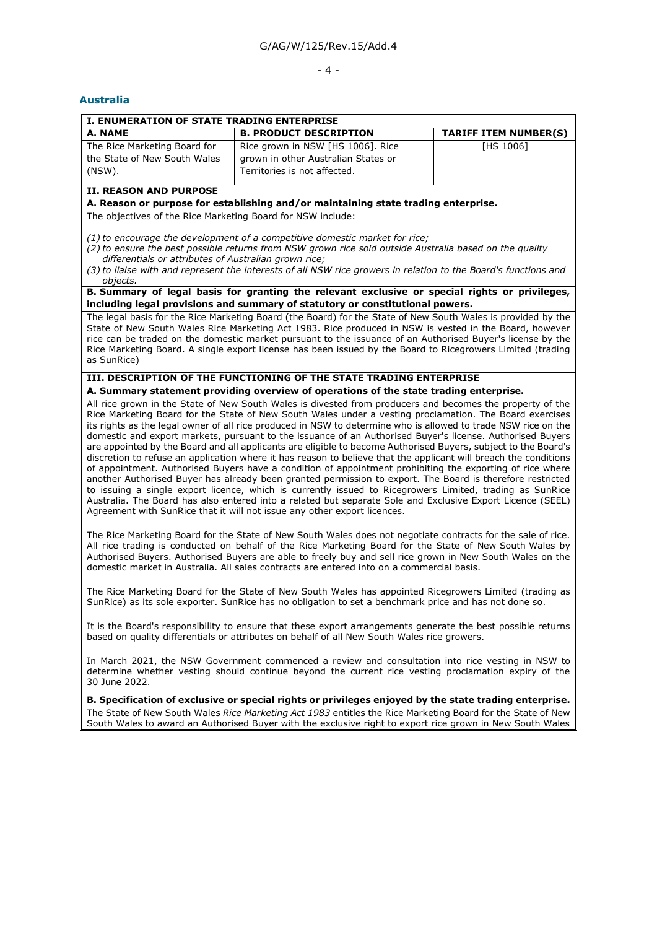#### - 4 -

#### <span id="page-3-0"></span>**Australia**

| <b>I. ENUMERATION OF STATE TRADING ENTERPRISE</b>                         |                                                                                                          |                              |  |  |
|---------------------------------------------------------------------------|----------------------------------------------------------------------------------------------------------|------------------------------|--|--|
| A. NAME                                                                   | <b>B. PRODUCT DESCRIPTION</b>                                                                            | <b>TARIFF ITEM NUMBER(S)</b> |  |  |
| The Rice Marketing Board for<br>the State of New South Wales<br>$(NSW)$ . | Rice grown in NSW [HS 1006]. Rice<br>grown in other Australian States or<br>Territories is not affected. | [HS 1006]                    |  |  |
| II. REASON AND PURPOSE                                                    |                                                                                                          |                              |  |  |

#### **A. Reason or purpose for establishing and/or maintaining state trading enterprise.**

The objectives of the Rice Marketing Board for NSW include:

*(1) to encourage the development of a competitive domestic market for rice;*

*(2) to ensure the best possible returns from NSW grown rice sold outside Australia based on the quality differentials or attributes of Australian grown rice;*

*(3) to liaise with and represent the interests of all NSW rice growers in relation to the Board's functions and objects.*

## **B. Summary of legal basis for granting the relevant exclusive or special rights or privileges, including legal provisions and summary of statutory or constitutional powers.**

The legal basis for the Rice Marketing Board (the Board) for the State of New South Wales is provided by the State of New South Wales Rice Marketing Act 1983. Rice produced in NSW is vested in the Board, however rice can be traded on the domestic market pursuant to the issuance of an Authorised Buyer's license by the Rice Marketing Board. A single export license has been issued by the Board to Ricegrowers Limited (trading as SunRice)

#### **III. DESCRIPTION OF THE FUNCTIONING OF THE STATE TRADING ENTERPRISE**

#### **A. Summary statement providing overview of operations of the state trading enterprise.**

All rice grown in the State of New South Wales is divested from producers and becomes the property of the Rice Marketing Board for the State of New South Wales under a vesting proclamation. The Board exercises its rights as the legal owner of all rice produced in NSW to determine who is allowed to trade NSW rice on the domestic and export markets, pursuant to the issuance of an Authorised Buyer's license. Authorised Buyers are appointed by the Board and all applicants are eligible to become Authorised Buyers, subject to the Board's discretion to refuse an application where it has reason to believe that the applicant will breach the conditions of appointment. Authorised Buyers have a condition of appointment prohibiting the exporting of rice where another Authorised Buyer has already been granted permission to export. The Board is therefore restricted to issuing a single export licence, which is currently issued to Ricegrowers Limited, trading as SunRice Australia. The Board has also entered into a related but separate Sole and Exclusive Export Licence (SEEL) Agreement with SunRice that it will not issue any other export licences.

The Rice Marketing Board for the State of New South Wales does not negotiate contracts for the sale of rice. All rice trading is conducted on behalf of the Rice Marketing Board for the State of New South Wales by Authorised Buyers. Authorised Buyers are able to freely buy and sell rice grown in New South Wales on the domestic market in Australia. All sales contracts are entered into on a commercial basis.

The Rice Marketing Board for the State of New South Wales has appointed Ricegrowers Limited (trading as SunRice) as its sole exporter. SunRice has no obligation to set a benchmark price and has not done so.

It is the Board's responsibility to ensure that these export arrangements generate the best possible returns based on quality differentials or attributes on behalf of all New South Wales rice growers.

In March 2021, the NSW Government commenced a review and consultation into rice vesting in NSW to determine whether vesting should continue beyond the current rice vesting proclamation expiry of the 30 June 2022.

#### **B. Specification of exclusive or special rights or privileges enjoyed by the state trading enterprise.**

The State of New South Wales *Rice Marketing Act 1983* entitles the Rice Marketing Board for the State of New South Wales to award an Authorised Buyer with the exclusive right to export rice grown in New South Wales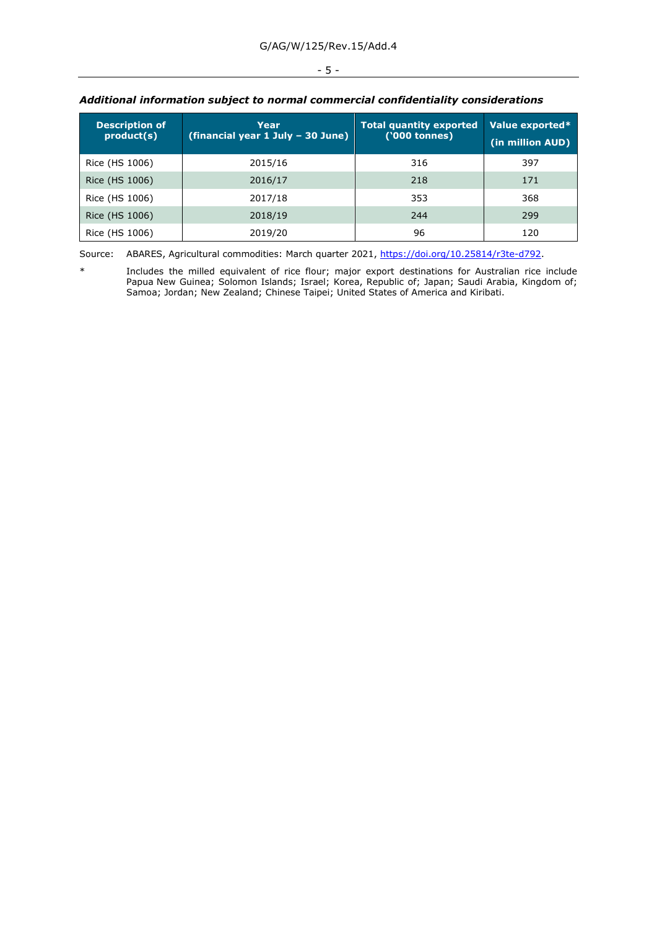## - 5 -

| <b>Description of</b><br>product(s) | Year<br>(financial year 1 July - 30 June) | <b>Total quantity exported</b><br>('000 tonnes) | Value exported*<br>(in million AUD) |
|-------------------------------------|-------------------------------------------|-------------------------------------------------|-------------------------------------|
| Rice (HS 1006)                      | 2015/16                                   | 316                                             | 397                                 |
| Rice (HS 1006)                      | 2016/17                                   | 218                                             | 171                                 |
| Rice (HS 1006)                      | 2017/18                                   | 353                                             | 368                                 |
| Rice (HS 1006)                      | 2018/19                                   | 244                                             | 299                                 |
| Rice (HS 1006)                      | 2019/20                                   | 96                                              | 120                                 |

## *Additional information subject to normal commercial confidentiality considerations*

Source: ABARES, Agricultural commodities: March quarter 2021, [https://doi.org/10.25814/r3te-d792.](https://doi.org/10.25814/r3te-d792)

\* Includes the milled equivalent of rice flour; major export destinations for Australian rice include Papua New Guinea; Solomon Islands; Israel; Korea, Republic of; Japan; Saudi Arabia, Kingdom of; Samoa; Jordan; New Zealand; Chinese Taipei; United States of America and Kiribati.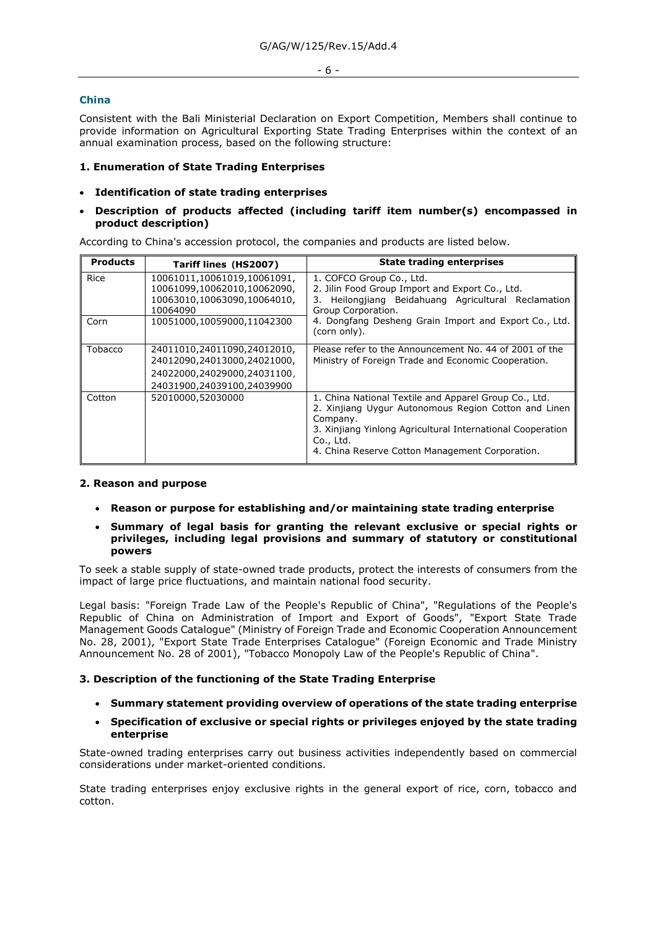#### - 6 -

#### <span id="page-5-0"></span>**China**

Consistent with the Bali Ministerial Declaration on Export Competition, Members shall continue to provide information on Agricultural Exporting State Trading Enterprises within the context of an annual examination process, based on the following structure:

## **1. Enumeration of State Trading Enterprises**

### • **Identification of state trading enterprises**

## • **Description of products affected (including tariff item number(s) encompassed in product description)**

According to China's accession protocol, the companies and products are listed below.

| <b>Products</b> | Tariff lines (HS2007)                                                                                                   | <b>State trading enterprises</b>                                                                                                                                                                                                                        |
|-----------------|-------------------------------------------------------------------------------------------------------------------------|---------------------------------------------------------------------------------------------------------------------------------------------------------------------------------------------------------------------------------------------------------|
| Rice            | 10061011,10061019,10061091,<br>10061099,10062010,10062090,<br>10063010,10063090,10064010,<br>10064090                   | 1. COFCO Group Co., Ltd.<br>2. Jilin Food Group Import and Export Co., Ltd.<br>Heilongjiang Beidahuang Agricultural Reclamation<br>3.<br>Group Corporation.                                                                                             |
| Corn            | 10051000,10059000,11042300                                                                                              | 4. Dongfang Desheng Grain Import and Export Co., Ltd.<br>(corn only).                                                                                                                                                                                   |
| Tobacco         | 24011010,24011090,24012010,<br>24012090,24013000,24021000,<br>24022000,24029000,24031100,<br>24031900,24039100,24039900 | Please refer to the Announcement No. 44 of 2001 of the<br>Ministry of Foreign Trade and Economic Cooperation.                                                                                                                                           |
| Cotton          | 52010000,52030000                                                                                                       | 1. China National Textile and Apparel Group Co., Ltd.<br>2. Xinjiang Uygur Autonomous Region Cotton and Linen<br>Company.<br>3. Xinjiang Yinlong Agricultural International Cooperation<br>Co., Ltd.<br>4. China Reserve Cotton Management Corporation. |

#### **2. Reason and purpose**

• **Reason or purpose for establishing and/or maintaining state trading enterprise**

## • **Summary of legal basis for granting the relevant exclusive or special rights or privileges, including legal provisions and summary of statutory or constitutional powers**

To seek a stable supply of state-owned trade products, protect the interests of consumers from the impact of large price fluctuations, and maintain national food security.

Legal basis: "Foreign Trade Law of the People's Republic of China", "Regulations of the People's Republic of China on Administration of Import and Export of Goods", "Export State Trade Management Goods Catalogue" (Ministry of Foreign Trade and Economic Cooperation Announcement No. 28, 2001), "Export State Trade Enterprises Catalogue" (Foreign Economic and Trade Ministry Announcement No. 28 of 2001), "Tobacco Monopoly Law of the People's Republic of China".

#### **3. Description of the functioning of the State Trading Enterprise**

- **Summary statement providing overview of operations of the state trading enterprise**
- **Specification of exclusive or special rights or privileges enjoyed by the state trading enterprise**

State-owned trading enterprises carry out business activities independently based on commercial considerations under market-oriented conditions.

State trading enterprises enjoy exclusive rights in the general export of rice, corn, tobacco and cotton.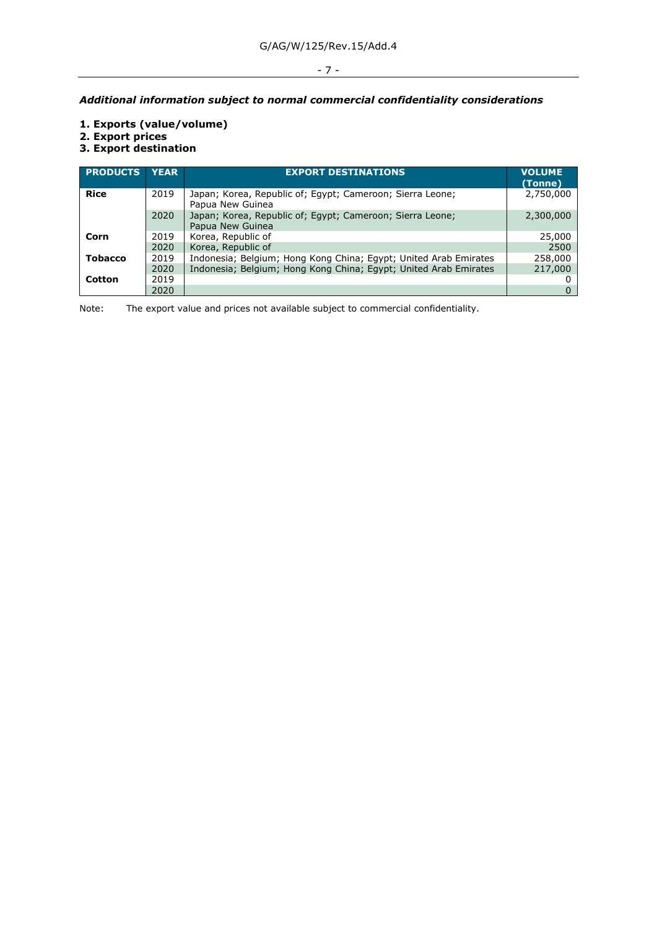## - 7 -

## *Additional information subject to normal commercial confidentiality considerations*

- **1. Exports (value/volume)**
- **2. Export prices**
- **3. Export destination**

| <b>PRODUCTS</b> | <b>YEAR</b> | <b>EXPORT DESTINATIONS</b>                                                    | <b>VOLUME</b><br>(Tonne) |
|-----------------|-------------|-------------------------------------------------------------------------------|--------------------------|
| <b>Rice</b>     | 2019        | Japan; Korea, Republic of; Egypt; Cameroon; Sierra Leone;<br>Papua New Guinea | 2,750,000                |
|                 | 2020        | Japan; Korea, Republic of; Egypt; Cameroon; Sierra Leone;<br>Papua New Guinea | 2,300,000                |
| Corn            | 2019        | Korea, Republic of                                                            | 25,000                   |
|                 | 2020        | Korea, Republic of                                                            | 2500                     |
| <b>Tobacco</b>  | 2019        | Indonesia; Belgium; Hong Kong China; Egypt; United Arab Emirates              | 258,000                  |
|                 | 2020        | Indonesia; Belgium; Hong Kong China; Egypt; United Arab Emirates              | 217,000                  |
| Cotton          | 2019        |                                                                               |                          |
|                 | 2020        |                                                                               |                          |

Note: The export value and prices not available subject to commercial confidentiality.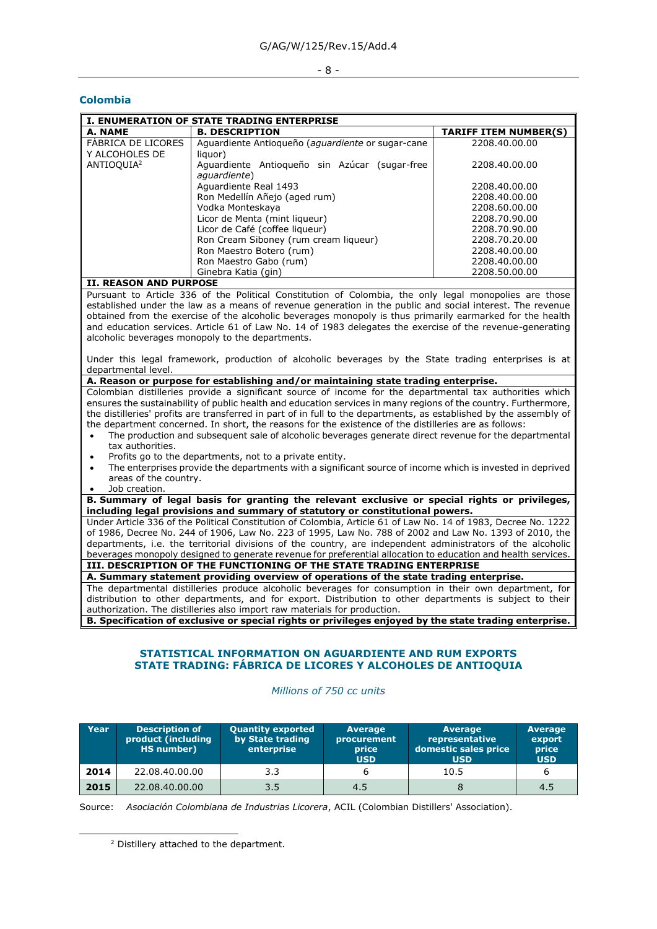#### - 8 -

#### <span id="page-7-0"></span>**Colombia**

|                        | <b>I. ENUMERATION OF STATE TRADING ENTERPRISE</b> |                              |  |  |  |  |  |
|------------------------|---------------------------------------------------|------------------------------|--|--|--|--|--|
| A. NAME                | <b>B. DESCRIPTION</b>                             | <b>TARIFF ITEM NUMBER(S)</b> |  |  |  |  |  |
| FABRICA DE LICORES     | Aguardiente Antioqueño (aguardiente or sugar-cane | 2208.40.00.00                |  |  |  |  |  |
| Y ALCOHOLES DE         | liguor)                                           |                              |  |  |  |  |  |
| ANTIOQUIA <sup>2</sup> | Aguardiente Antioqueño sin Azúcar (sugar-free     | 2208.40.00.00                |  |  |  |  |  |
|                        | aquardiente)                                      |                              |  |  |  |  |  |
|                        | Aguardiente Real 1493                             | 2208.40.00.00                |  |  |  |  |  |
|                        | Ron Medellín Añejo (aged rum)                     | 2208.40.00.00                |  |  |  |  |  |
|                        | Vodka Monteskaya                                  | 2208.60.00.00                |  |  |  |  |  |
|                        | Licor de Menta (mint liqueur)                     | 2208.70.90.00                |  |  |  |  |  |
|                        | Licor de Café (coffee liqueur)                    | 2208.70.90.00                |  |  |  |  |  |
|                        | Ron Cream Siboney (rum cream liqueur)             | 2208.70.20.00                |  |  |  |  |  |
|                        | Ron Maestro Botero (rum)                          | 2208.40.00.00                |  |  |  |  |  |
|                        | Ron Maestro Gabo (rum)                            | 2208.40.00.00                |  |  |  |  |  |
|                        | Ginebra Katia (gin)                               | 2208.50.00.00                |  |  |  |  |  |

#### **II. REASON AND PURPOSE**

Pursuant to Article 336 of the Political Constitution of Colombia, the only legal monopolies are those established under the law as a means of revenue generation in the public and social interest. The revenue obtained from the exercise of the alcoholic beverages monopoly is thus primarily earmarked for the health and education services. Article 61 of Law No. 14 of 1983 delegates the exercise of the revenue-generating alcoholic beverages monopoly to the departments.

Under this legal framework, production of alcoholic beverages by the State trading enterprises is at departmental level.

## **A. Reason or purpose for establishing and/or maintaining state trading enterprise.**

Colombian distilleries provide a significant source of income for the departmental tax authorities which ensures the sustainability of public health and education services in many regions of the country. Furthermore, the distilleries' profits are transferred in part of in full to the departments, as established by the assembly of the department concerned. In short, the reasons for the existence of the distilleries are as follows:

- The production and subsequent sale of alcoholic beverages generate direct revenue for the departmental tax authorities.
- Profits go to the departments, not to a private entity.
- The enterprises provide the departments with a significant source of income which is invested in deprived areas of the country.
- Job creation.

**B. Summary of legal basis for granting the relevant exclusive or special rights or privileges, including legal provisions and summary of statutory or constitutional powers.**

Under Article 336 of the Political Constitution of Colombia, Article 61 of Law No. 14 of 1983, Decree No. 1222 of 1986, Decree No. 244 of 1906, Law No. 223 of 1995, Law No. 788 of 2002 and Law No. 1393 of 2010, the departments, i.e. the territorial divisions of the country, are independent administrators of the alcoholic beverages monopoly designed to generate revenue for preferential allocation to education and health services. **III. DESCRIPTION OF THE FUNCTIONING OF THE STATE TRADING ENTERPRISE**

### **A. Summary statement providing overview of operations of the state trading enterprise.**

The departmental distilleries produce alcoholic beverages for consumption in their own department, for distribution to other departments, and for export. Distribution to other departments is subject to their authorization. The distilleries also import raw materials for production.

**B. Specification of exclusive or special rights or privileges enjoyed by the state trading enterprise.**

## **STATISTICAL INFORMATION ON AGUARDIENTE AND RUM EXPORTS STATE TRADING: FÁBRICA DE LICORES Y ALCOHOLES DE ANTIOQUIA**

#### *Millions of 750 cc units*

| Year | <b>Description of</b><br>product (including<br>HS number) | <b>Quantity exported</b><br>by State trading<br>enterprise | <b>Average</b><br>procurement<br>price<br><b>USD</b> | <b>Average</b><br>representative<br>domestic sales price<br><b>USD</b> | <b>Average</b><br>export<br>price<br><b>USD</b> |
|------|-----------------------------------------------------------|------------------------------------------------------------|------------------------------------------------------|------------------------------------------------------------------------|-------------------------------------------------|
| 2014 | 22.08.40.00.00                                            | 3.3                                                        |                                                      | 10.5                                                                   |                                                 |
| 2015 | 22.08.40.00.00                                            | 3.5                                                        | 4.5                                                  |                                                                        | 4.5                                             |

Source: *Asociación Colombiana de Industrias Licorera*, ACIL (Colombian Distillers' Association).

<sup>2</sup> Distillery attached to the department.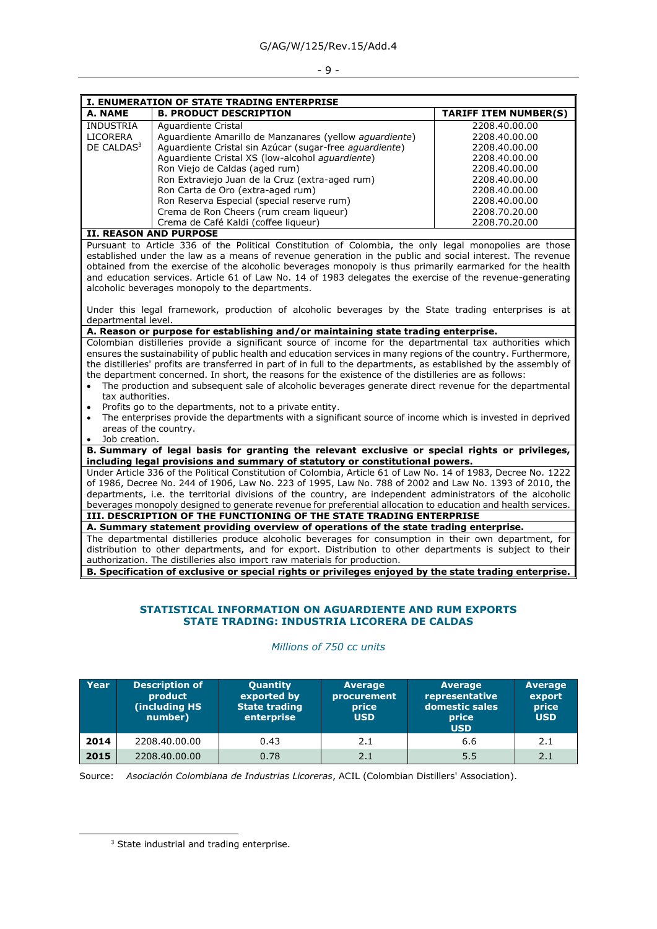#### $-9 -$

|                                                                                                           | <b>I. ENUMERATION OF STATE TRADING ENTERPRISE</b>       |                              |  |  |  |  |  |
|-----------------------------------------------------------------------------------------------------------|---------------------------------------------------------|------------------------------|--|--|--|--|--|
| A. NAME                                                                                                   | <b>B. PRODUCT DESCRIPTION</b>                           | <b>TARIFF ITEM NUMBER(S)</b> |  |  |  |  |  |
| <b>INDUSTRIA</b>                                                                                          | Aquardiente Cristal                                     | 2208.40.00.00                |  |  |  |  |  |
| LICORERA                                                                                                  | Aquardiente Amarillo de Manzanares (yellow aquardiente) | 2208.40.00.00                |  |  |  |  |  |
| DE CALDAS <sup>3</sup>                                                                                    | Aguardiente Cristal sin Azúcar (sugar-free aguardiente) | 2208.40.00.00                |  |  |  |  |  |
|                                                                                                           | Aguardiente Cristal XS (low-alcohol aguardiente)        | 2208.40.00.00                |  |  |  |  |  |
|                                                                                                           | Ron Viejo de Caldas (aged rum)                          | 2208.40.00.00                |  |  |  |  |  |
|                                                                                                           | Ron Extraviejo Juan de la Cruz (extra-aged rum)         | 2208.40.00.00                |  |  |  |  |  |
|                                                                                                           | Ron Carta de Oro (extra-aged rum)                       | 2208.40.00.00                |  |  |  |  |  |
|                                                                                                           | Ron Reserva Especial (special reserve rum)              | 2208.40.00.00                |  |  |  |  |  |
|                                                                                                           | Crema de Ron Cheers (rum cream liqueur)                 | 2208.70.20.00                |  |  |  |  |  |
|                                                                                                           | Crema de Café Kaldi (coffee liqueur)                    | 2208.70.20.00                |  |  |  |  |  |
| <b>II. REASON AND PURPOSE</b>                                                                             |                                                         |                              |  |  |  |  |  |
| Pursuant to Article 336 of the Political Constitution of Colombia, the only legal monopolies are those    |                                                         |                              |  |  |  |  |  |
| established under the law as a means of revenue generation in the public and social interest. The revenue |                                                         |                              |  |  |  |  |  |

venue generation in the public obtained from the exercise of the alcoholic beverages monopoly is thus primarily earmarked for the health and education services. Article 61 of Law No. 14 of 1983 delegates the exercise of the revenue-generating alcoholic beverages monopoly to the departments.

Under this legal framework, production of alcoholic beverages by the State trading enterprises is at departmental level.

## **A. Reason or purpose for establishing and/or maintaining state trading enterprise.**

Colombian distilleries provide a significant source of income for the departmental tax authorities which ensures the sustainability of public health and education services in many regions of the country. Furthermore, the distilleries' profits are transferred in part of in full to the departments, as established by the assembly of the department concerned. In short, the reasons for the existence of the distilleries are as follows:

- The production and subsequent sale of alcoholic beverages generate direct revenue for the departmental tax authorities.
- Profits go to the departments, not to a private entity.
- The enterprises provide the departments with a significant source of income which is invested in deprived areas of the country.
- Job creation.

#### **B. Summary of legal basis for granting the relevant exclusive or special rights or privileges, including legal provisions and summary of statutory or constitutional powers.**

Under Article 336 of the Political Constitution of Colombia, Article 61 of Law No. 14 of 1983, Decree No. 1222 of 1986, Decree No. 244 of 1906, Law No. 223 of 1995, Law No. 788 of 2002 and Law No. 1393 of 2010, the departments, i.e. the territorial divisions of the country, are independent administrators of the alcoholic beverages monopoly designed to generate revenue for preferential allocation to education and health services.

#### **III. DESCRIPTION OF THE FUNCTIONING OF THE STATE TRADING ENTERPRISE A. Summary statement providing overview of operations of the state trading enterprise.**

The departmental distilleries produce alcoholic beverages for consumption in their own department, for distribution to other departments, and for export. Distribution to other departments is subject to their authorization. The distilleries also import raw materials for production.

**B. Specification of exclusive or special rights or privileges enjoyed by the state trading enterprise.**

## **STATISTICAL INFORMATION ON AGUARDIENTE AND RUM EXPORTS STATE TRADING: INDUSTRIA LICORERA DE CALDAS**

| Year | <b>Description of</b><br>product<br>(including HS<br>number) | <b>Quantity</b><br>exported by<br><b>State trading</b><br>enterprise | <b>Average</b><br>procurement<br>price<br><b>USD</b> | <b>Average</b><br>representative<br>domestic sales<br>price<br><b>USD</b> | <b>Average</b><br>export<br>price<br><b>USD</b> |
|------|--------------------------------------------------------------|----------------------------------------------------------------------|------------------------------------------------------|---------------------------------------------------------------------------|-------------------------------------------------|
| 2014 | 2208.40.00.00                                                | 0.43                                                                 | 2.1                                                  | 6.6                                                                       | 2.1                                             |
| 2015 | 2208.40.00.00                                                | 0.78                                                                 | 2.1                                                  | 5.5                                                                       | 2.1                                             |

#### *Millions of 750 cc units*

Source: *Asociación Colombiana de Industrias Licoreras*, ACIL (Colombian Distillers' Association).

<sup>&</sup>lt;sup>3</sup> State industrial and trading enterprise.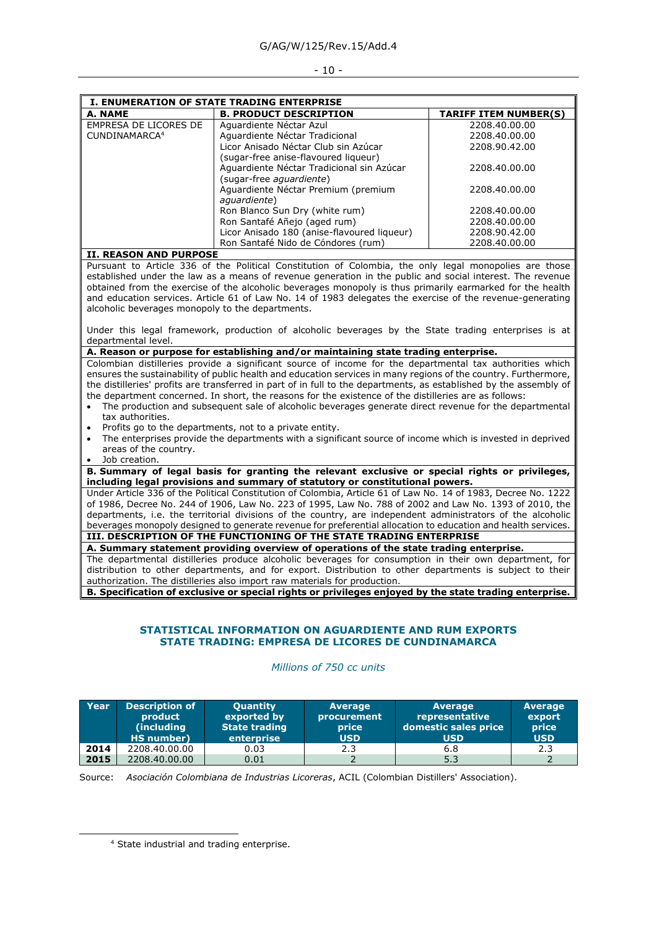#### - 10 -

| <b>I. ENUMERATION OF STATE TRADING ENTERPRISE</b> |                                             |                              |  |  |  |
|---------------------------------------------------|---------------------------------------------|------------------------------|--|--|--|
| A. NAME                                           | <b>B. PRODUCT DESCRIPTION</b>               | <b>TARIFF ITEM NUMBER(S)</b> |  |  |  |
| EMPRESA DE LICORES DE                             | Aquardiente Néctar Azul                     | 2208.40.00.00                |  |  |  |
| CUNDINAMARCA <sup>4</sup>                         | Aquardiente Néctar Tradicional              | 2208.40.00.00                |  |  |  |
|                                                   | Licor Anisado Néctar Club sin Azúcar        | 2208.90.42.00                |  |  |  |
|                                                   | (sugar-free anise-flavoured ligueur)        |                              |  |  |  |
|                                                   | Aguardiente Néctar Tradicional sin Azúcar   | 2208.40.00.00                |  |  |  |
|                                                   | (sugar-free aguardiente)                    |                              |  |  |  |
|                                                   | Aguardiente Néctar Premium (premium         | 2208.40.00.00                |  |  |  |
|                                                   | aquardiente)                                |                              |  |  |  |
|                                                   | Ron Blanco Sun Dry (white rum)              | 2208.40.00.00                |  |  |  |
|                                                   | Ron Santafé Añejo (aged rum)                | 2208.40.00.00                |  |  |  |
|                                                   | Licor Anisado 180 (anise-flavoured liqueur) | 2208.90.42.00                |  |  |  |
|                                                   | Ron Santafé Nido de Cóndores (rum)          | 2208.40.00.00                |  |  |  |

#### **II. REASON AND PURPOSE**

Pursuant to Article 336 of the Political Constitution of Colombia, the only legal monopolies are those established under the law as a means of revenue generation in the public and social interest. The revenue obtained from the exercise of the alcoholic beverages monopoly is thus primarily earmarked for the health and education services. Article 61 of Law No. 14 of 1983 delegates the exercise of the revenue-generating alcoholic beverages monopoly to the departments.

Under this legal framework, production of alcoholic beverages by the State trading enterprises is at departmental level.

## **A. Reason or purpose for establishing and/or maintaining state trading enterprise.**

Colombian distilleries provide a significant source of income for the departmental tax authorities which ensures the sustainability of public health and education services in many regions of the country. Furthermore, the distilleries' profits are transferred in part of in full to the departments, as established by the assembly of the department concerned. In short, the reasons for the existence of the distilleries are as follows:

- The production and subsequent sale of alcoholic beverages generate direct revenue for the departmental tax authorities.
- Profits go to the departments, not to a private entity.
- The enterprises provide the departments with a significant source of income which is invested in deprived areas of the country.
- Job creation.

#### **B. Summary of legal basis for granting the relevant exclusive or special rights or privileges, including legal provisions and summary of statutory or constitutional powers.**

Under Article 336 of the Political Constitution of Colombia, Article 61 of Law No. 14 of 1983, Decree No. 1222 of 1986, Decree No. 244 of 1906, Law No. 223 of 1995, Law No. 788 of 2002 and Law No. 1393 of 2010, the departments, i.e. the territorial divisions of the country, are independent administrators of the alcoholic beverages monopoly designed to generate revenue for preferential allocation to education and health services.

## **III. DESCRIPTION OF THE FUNCTIONING OF THE STATE TRADING ENTERPRISE**

**A. Summary statement providing overview of operations of the state trading enterprise.** The departmental distilleries produce alcoholic beverages for consumption in their own department, for distribution to other departments, and for export. Distribution to other departments is subject to their authorization. The distilleries also import raw materials for production.

**B. Specification of exclusive or special rights or privileges enjoyed by the state trading enterprise.**

## **STATISTICAL INFORMATION ON AGUARDIENTE AND RUM EXPORTS STATE TRADING: EMPRESA DE LICORES DE CUNDINAMARCA**

*Millions of 750 cc units*

| Year | Description of<br>product<br>(including)<br>HS number) | <b>Quantity</b><br>exported by<br><b>State trading</b><br>enterprise | <b>Average</b><br>procurement<br><b>price</b><br><b>USD</b> | <b>Average</b><br>representative<br>domestic sales price<br><b>USD</b> | <b>Average</b><br>export<br>price<br><b>USD</b> |
|------|--------------------------------------------------------|----------------------------------------------------------------------|-------------------------------------------------------------|------------------------------------------------------------------------|-------------------------------------------------|
| 2014 | 2208.40.00.00                                          | 0.03                                                                 | 2.3                                                         | 6.8                                                                    | 2.3                                             |
| 2015 | 2208.40.00.00                                          | 0.01                                                                 |                                                             | 5.3                                                                    |                                                 |

Source: *Asociación Colombiana de Industrias Licoreras*, ACIL (Colombian Distillers' Association).

<sup>4</sup> State industrial and trading enterprise.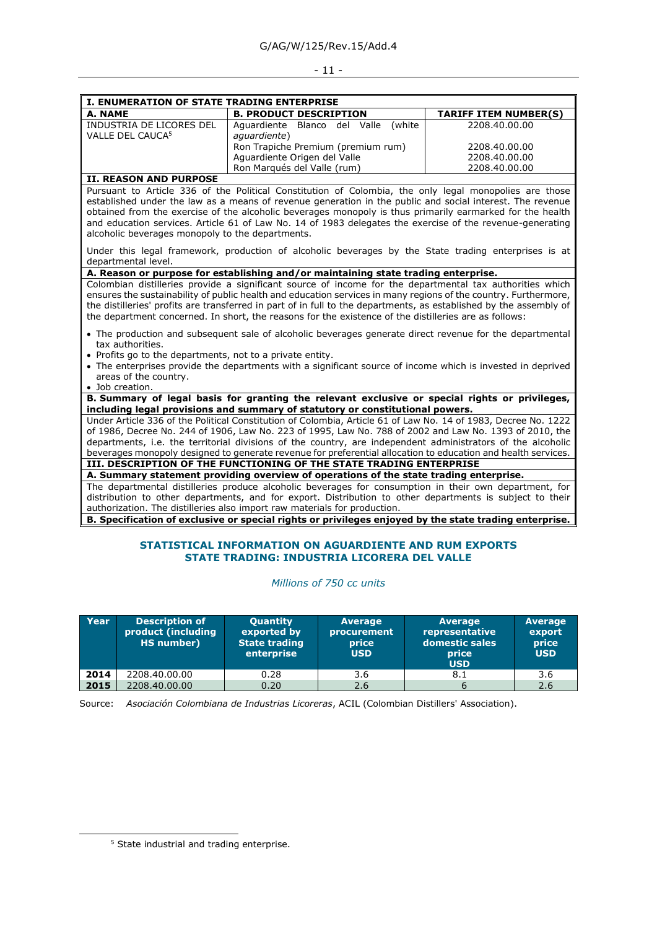#### - 11 -

| I. ENUMERATION OF STATE TRADING ENTERPRISE               |                                                     |                              |  |  |  |
|----------------------------------------------------------|-----------------------------------------------------|------------------------------|--|--|--|
| A. NAME                                                  | <b>B. PRODUCT DESCRIPTION</b>                       | <b>TARIFF ITEM NUMBER(S)</b> |  |  |  |
| INDUSTRIA DE LICORES DEL<br>VALLE DEL CAUCA <sup>5</sup> | Aguardiente Blanco del Valle (white<br>aguardiente) | 2208.40.00.00                |  |  |  |
|                                                          | Ron Trapiche Premium (premium rum)                  | 2208.40.00.00                |  |  |  |
|                                                          | Aguardiente Origen del Valle                        | 2208.40.00.00                |  |  |  |
|                                                          | Ron Marqués del Valle (rum)                         | 2208.40.00.00                |  |  |  |

## **II. REASON AND PURPOSE**

Pursuant to Article 336 of the Political Constitution of Colombia, the only legal monopolies are those established under the law as a means of revenue generation in the public and social interest. The revenue obtained from the exercise of the alcoholic beverages monopoly is thus primarily earmarked for the health and education services. Article 61 of Law No. 14 of 1983 delegates the exercise of the revenue-generating alcoholic beverages monopoly to the departments.

Under this legal framework, production of alcoholic beverages by the State trading enterprises is at departmental level.

## **A. Reason or purpose for establishing and/or maintaining state trading enterprise.**

Colombian distilleries provide a significant source of income for the departmental tax authorities which ensures the sustainability of public health and education services in many regions of the country. Furthermore, the distilleries' profits are transferred in part of in full to the departments, as established by the assembly of the department concerned. In short, the reasons for the existence of the distilleries are as follows:

- The production and subsequent sale of alcoholic beverages generate direct revenue for the departmental tax authorities.
- Profits go to the departments, not to a private entity.
- The enterprises provide the departments with a significant source of income which is invested in deprived areas of the country.
- Job creation.

**B. Summary of legal basis for granting the relevant exclusive or special rights or privileges, including legal provisions and summary of statutory or constitutional powers.**

Under Article 336 of the Political Constitution of Colombia, Article 61 of Law No. 14 of 1983, Decree No. 1222 of 1986, Decree No. 244 of 1906, Law No. 223 of 1995, Law No. 788 of 2002 and Law No. 1393 of 2010, the departments, i.e. the territorial divisions of the country, are independent administrators of the alcoholic beverages monopoly designed to generate revenue for preferential allocation to education and health services. **III. DESCRIPTION OF THE FUNCTIONING OF THE STATE TRADING ENTERPRISE**

**A. Summary statement providing overview of operations of the state trading enterprise.** The departmental distilleries produce alcoholic beverages for consumption in their own department, for distribution to other departments, and for export. Distribution to other departments is subject to their authorization. The distilleries also import raw materials for production.

**B. Specification of exclusive or special rights or privileges enjoyed by the state trading enterprise.**

#### **STATISTICAL INFORMATION ON AGUARDIENTE AND RUM EXPORTS STATE TRADING: INDUSTRIA LICORERA DEL VALLE**

*Millions of 750 cc units*

| Year | <b>Description of</b><br>product (including<br>HS number) | <b>Quantity</b><br>exported by<br><b>State trading</b><br>enterprise | <b>Average</b><br>procurement<br>price<br><b>USD</b> | <b>Average</b><br>representative<br>domestic sales<br>price<br><b>USD</b> | <b>Average</b><br>export<br>price<br><b>USD</b> |
|------|-----------------------------------------------------------|----------------------------------------------------------------------|------------------------------------------------------|---------------------------------------------------------------------------|-------------------------------------------------|
| 2014 | 2208.40.00.00                                             | 0.28                                                                 | 3.6                                                  | 8.1                                                                       | 3.6                                             |
| 2015 | 2208.40.00.00                                             | 0.20                                                                 | 2.6                                                  | 6                                                                         | 2.6                                             |

Source: *Asociación Colombiana de Industrias Licoreras*, ACIL (Colombian Distillers' Association).

<sup>&</sup>lt;sup>5</sup> State industrial and trading enterprise.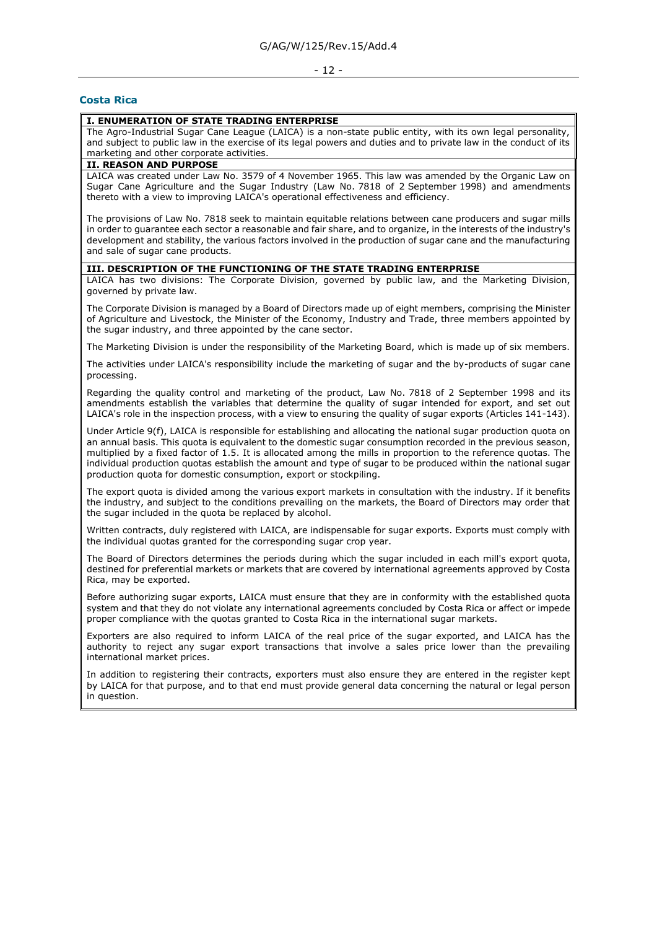#### - 12 -

#### <span id="page-11-0"></span>**Costa Rica**

#### **I. ENUMERATION OF STATE TRADING ENTERPRISE**

The Agro-Industrial Sugar Cane League (LAICA) is a non-state public entity, with its own legal personality, and subject to public law in the exercise of its legal powers and duties and to private law in the conduct of its marketing and other corporate activities.

#### **II. REASON AND PURPOSE**

LAICA was created under Law No. 3579 of 4 November 1965. This law was amended by the Organic Law on Sugar Cane Agriculture and the Sugar Industry (Law No. 7818 of 2 September 1998) and amendments thereto with a view to improving LAICA's operational effectiveness and efficiency.

The provisions of Law No. 7818 seek to maintain equitable relations between cane producers and sugar mills in order to guarantee each sector a reasonable and fair share, and to organize, in the interests of the industry's development and stability, the various factors involved in the production of sugar cane and the manufacturing and sale of sugar cane products.

#### **III. DESCRIPTION OF THE FUNCTIONING OF THE STATE TRADING ENTERPRISE**

LAICA has two divisions: The Corporate Division, governed by public law, and the Marketing Division, governed by private law.

The Corporate Division is managed by a Board of Directors made up of eight members, comprising the Minister of Agriculture and Livestock, the Minister of the Economy, Industry and Trade, three members appointed by the sugar industry, and three appointed by the cane sector.

The Marketing Division is under the responsibility of the Marketing Board, which is made up of six members.

The activities under LAICA's responsibility include the marketing of sugar and the by-products of sugar cane processing.

Regarding the quality control and marketing of the product, Law No. 7818 of 2 September 1998 and its amendments establish the variables that determine the quality of sugar intended for export, and set out LAICA's role in the inspection process, with a view to ensuring the quality of sugar exports (Articles 141-143).

Under Article 9(f), LAICA is responsible for establishing and allocating the national sugar production quota on an annual basis. This quota is equivalent to the domestic sugar consumption recorded in the previous season, multiplied by a fixed factor of 1.5. It is allocated among the mills in proportion to the reference quotas. The individual production quotas establish the amount and type of sugar to be produced within the national sugar production quota for domestic consumption, export or stockpiling.

The export quota is divided among the various export markets in consultation with the industry. If it benefits the industry, and subject to the conditions prevailing on the markets, the Board of Directors may order that the sugar included in the quota be replaced by alcohol.

Written contracts, duly registered with LAICA, are indispensable for sugar exports. Exports must comply with the individual quotas granted for the corresponding sugar crop year.

The Board of Directors determines the periods during which the sugar included in each mill's export quota, destined for preferential markets or markets that are covered by international agreements approved by Costa Rica, may be exported.

Before authorizing sugar exports, LAICA must ensure that they are in conformity with the established quota system and that they do not violate any international agreements concluded by Costa Rica or affect or impede proper compliance with the quotas granted to Costa Rica in the international sugar markets.

Exporters are also required to inform LAICA of the real price of the sugar exported, and LAICA has the authority to reject any sugar export transactions that involve a sales price lower than the prevailing international market prices.

In addition to registering their contracts, exporters must also ensure they are entered in the register kept by LAICA for that purpose, and to that end must provide general data concerning the natural or legal person in question.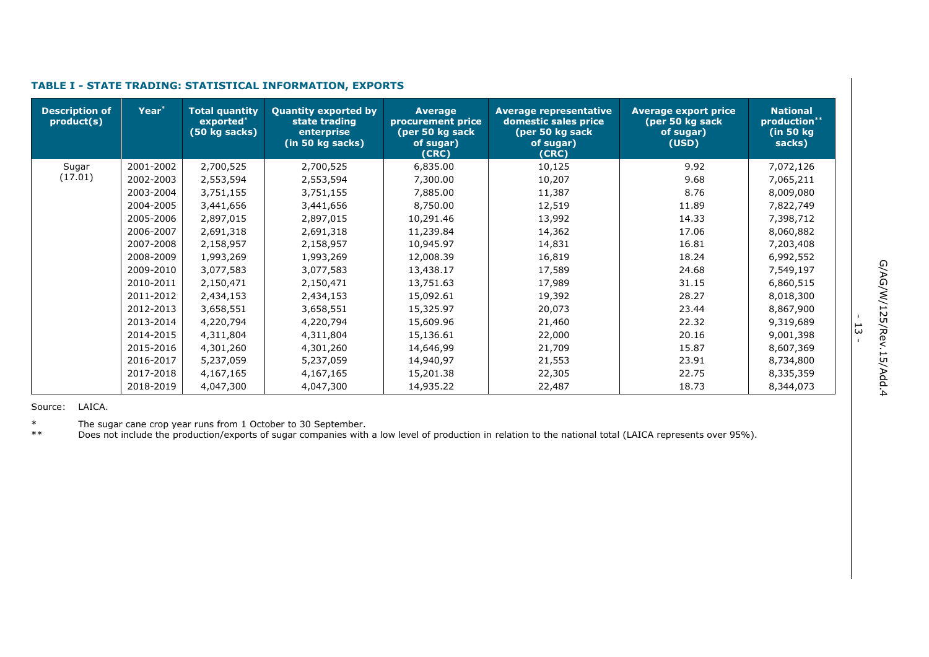| <b>Description of</b><br>product(s) | Year <sup>*</sup> | <b>Total quantity</b><br>exported*<br>(50 kg sacks) | <b>Quantity exported by</b><br>state trading<br>enterprise<br>(in 50 kg sacks) | <b>Average</b><br>procurement price<br>(per 50 kg sack<br>of sugar)<br>(CRC) | <b>Average representative</b><br>domestic sales price<br>(per 50 kg sack<br>of sugar)<br>(CRC) | <b>Average export price</b><br>(per 50 kg sack<br>of sugar)<br>(USD) | <b>National</b><br>production**<br>(in 50 kg)<br>sacks) |
|-------------------------------------|-------------------|-----------------------------------------------------|--------------------------------------------------------------------------------|------------------------------------------------------------------------------|------------------------------------------------------------------------------------------------|----------------------------------------------------------------------|---------------------------------------------------------|
| Sugar                               | 2001-2002         | 2,700,525                                           | 2,700,525                                                                      | 6,835.00                                                                     | 10,125                                                                                         | 9.92                                                                 | 7,072,126                                               |
| (17.01)                             | 2002-2003         | 2,553,594                                           | 2,553,594                                                                      | 7,300.00                                                                     | 10,207                                                                                         | 9.68                                                                 | 7,065,211                                               |
|                                     | 2003-2004         | 3,751,155                                           | 3,751,155                                                                      | 7,885.00                                                                     | 11,387                                                                                         | 8.76                                                                 | 8,009,080                                               |
|                                     | 2004-2005         | 3,441,656                                           | 3,441,656                                                                      | 8,750.00                                                                     | 12,519                                                                                         | 11.89                                                                | 7,822,749                                               |
|                                     | 2005-2006         | 2,897,015                                           | 2,897,015                                                                      | 10,291.46                                                                    | 13,992                                                                                         | 14.33                                                                | 7,398,712                                               |
|                                     | 2006-2007         | 2,691,318                                           | 2,691,318                                                                      | 11,239.84                                                                    | 14,362                                                                                         | 17.06                                                                | 8,060,882                                               |
|                                     | 2007-2008         | 2,158,957                                           | 2,158,957                                                                      | 10,945.97                                                                    | 14,831                                                                                         | 16.81                                                                | 7,203,408                                               |
|                                     | 2008-2009         | 1,993,269                                           | 1,993,269                                                                      | 12,008.39                                                                    | 16,819                                                                                         | 18.24                                                                | 6,992,552                                               |
|                                     | 2009-2010         | 3,077,583                                           | 3,077,583                                                                      | 13,438.17                                                                    | 17,589                                                                                         | 24.68                                                                | 7,549,197                                               |
|                                     | 2010-2011         | 2,150,471                                           | 2,150,471                                                                      | 13,751.63                                                                    | 17,989                                                                                         | 31.15                                                                | 6,860,515                                               |
|                                     | 2011-2012         | 2,434,153                                           | 2,434,153                                                                      | 15,092.61                                                                    | 19,392                                                                                         | 28.27                                                                | 8,018,300                                               |
|                                     | 2012-2013         | 3,658,551                                           | 3,658,551                                                                      | 15,325.97                                                                    | 20,073                                                                                         | 23.44                                                                | 8,867,900                                               |
|                                     | 2013-2014         | 4,220,794                                           | 4,220,794                                                                      | 15,609.96                                                                    | 21,460                                                                                         | 22.32                                                                | 9,319,689                                               |
|                                     | 2014-2015         | 4,311,804                                           | 4,311,804                                                                      | 15,136.61                                                                    | 22,000                                                                                         | 20.16                                                                | 9,001,398                                               |
|                                     | 2015-2016         | 4,301,260                                           | 4,301,260                                                                      | 14,646,99                                                                    | 21,709                                                                                         | 15.87                                                                | 8,607,369                                               |
|                                     | 2016-2017         | 5,237,059                                           | 5,237,059                                                                      | 14,940,97                                                                    | 21,553                                                                                         | 23.91                                                                | 8,734,800                                               |
|                                     | 2017-2018         | 4,167,165                                           | 4,167,165                                                                      | 15,201.38                                                                    | 22,305                                                                                         | 22.75                                                                | 8,335,359                                               |
|                                     | 2018-2019         | 4,047,300                                           | 4,047,300                                                                      | 14,935.22                                                                    | 22,487                                                                                         | 18.73                                                                | 8,344,073                                               |

## **TABLE I - STATE TRADING: STATISTICAL INFORMATION, EXPORTS**

Source: LAICA.

\* The sugar cane crop year runs from 1 October to 30 September.

\*\* Does not include the production/exports of sugar companies with a low level of production in relation to the national total (LAICA represents over 95%).

- ب<br>-<br>-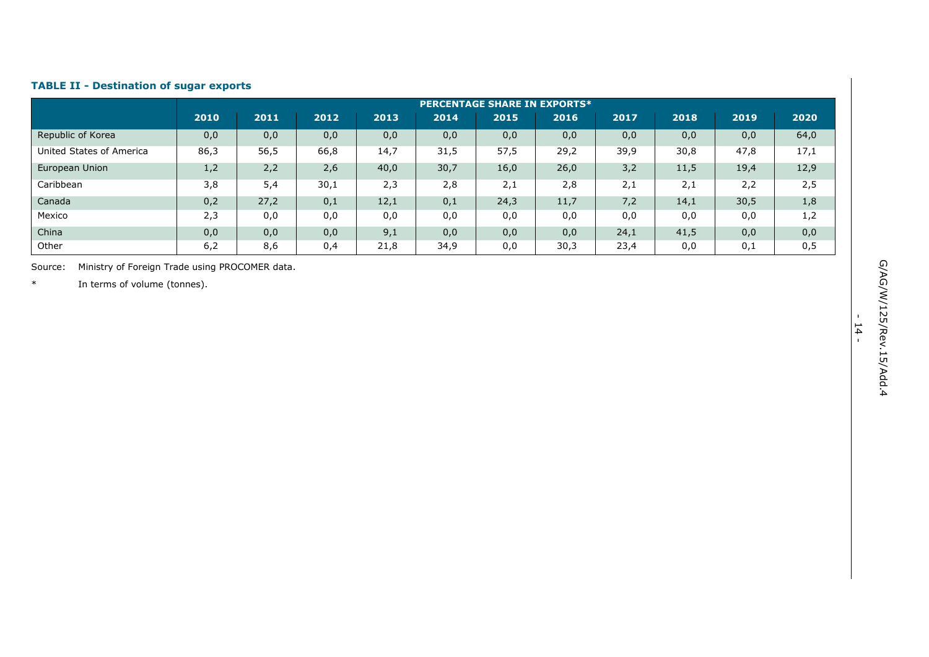#### **TABLE II - Destination of sugar exports**

|                          |      | <b>PERCENTAGE SHARE IN EXPORTS*</b> |      |      |      |      |      |      |      |      |      |
|--------------------------|------|-------------------------------------|------|------|------|------|------|------|------|------|------|
|                          | 2010 | 2011                                | 2012 | 2013 | 2014 | 2015 | 2016 | 2017 | 2018 | 2019 | 2020 |
| Republic of Korea        | 0,0  | 0,0                                 | 0,0  | 0,0  | 0,0  | 0,0  | 0,0  | 0,0  | 0,0  | 0,0  | 64,0 |
| United States of America | 86,3 | 56,5                                | 66,8 | 14,7 | 31,5 | 57,5 | 29,2 | 39,9 | 30,8 | 47,8 | 17,1 |
| European Union           | 1,2  | 2,2                                 | 2,6  | 40,0 | 30,7 | 16,0 | 26,0 | 3,2  | 11,5 | 19,4 | 12,9 |
| Caribbean                | 3,8  | 5,4                                 | 30,1 | 2,3  | 2,8  | 2,1  | 2,8  | 2,1  | 2,1  | 2,2  | 2,5  |
| Canada                   | 0,2  | 27,2                                | 0,1  | 12,1 | 0,1  | 24,3 | 11,7 | 7,2  | 14,1 | 30,5 | 1,8  |
| Mexico                   | 2,3  | 0,0                                 | 0,0  | 0,0  | 0,0  | 0,0  | 0,0  | 0,0  | 0,0  | 0,0  | 1,2  |
| China                    | 0,0  | 0,0                                 | 0,0  | 9,1  | 0,0  | 0,0  | 0,0  | 24,1 | 41,5 | 0,0  | 0,0  |
| Other                    | 6,2  | 8,6                                 | 0,4  | 21,8 | 34,9 | 0,0  | 30,3 | 23,4 | 0,0  | 0,1  | 0,5  |

Source: Ministry of Foreign Trade using PROCOMER data .

\* In terms of volume (tonnes).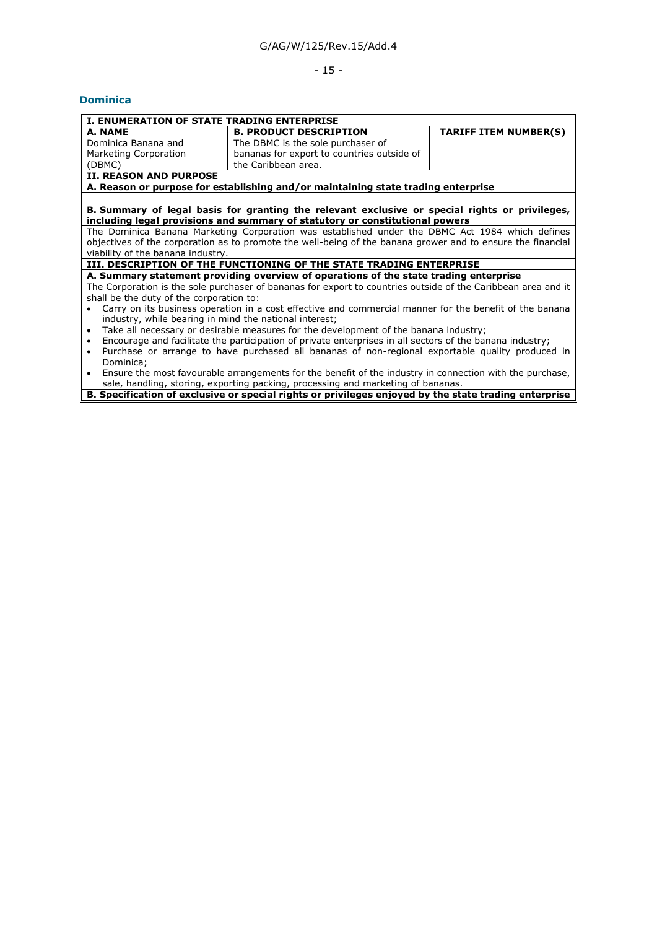## - 15 -

## <span id="page-14-0"></span>**Dominica**

| I. ENUMERATION OF STATE TRADING ENTERPRISE             |                                                                                                               |                              |
|--------------------------------------------------------|---------------------------------------------------------------------------------------------------------------|------------------------------|
| A. NAME                                                | <b>B. PRODUCT DESCRIPTION</b>                                                                                 | <b>TARIFF ITEM NUMBER(S)</b> |
| Dominica Banana and                                    | The DBMC is the sole purchaser of                                                                             |                              |
| Marketing Corporation                                  | bananas for export to countries outside of                                                                    |                              |
| (DBMC)                                                 | the Caribbean area.                                                                                           |                              |
| <b>II. REASON AND PURPOSE</b>                          |                                                                                                               |                              |
|                                                        | A. Reason or purpose for establishing and/or maintaining state trading enterprise                             |                              |
|                                                        |                                                                                                               |                              |
|                                                        | B. Summary of legal basis for granting the relevant exclusive or special rights or privileges,                |                              |
|                                                        | including legal provisions and summary of statutory or constitutional powers                                  |                              |
|                                                        | The Dominica Banana Marketing Corporation was established under the DBMC Act 1984 which defines               |                              |
|                                                        | objectives of the corporation as to promote the well-being of the banana grower and to ensure the financial   |                              |
| viability of the banana industry.                      |                                                                                                               |                              |
|                                                        | III. DESCRIPTION OF THE FUNCTIONING OF THE STATE TRADING ENTERPRISE                                           |                              |
|                                                        | A. Summary statement providing overview of operations of the state trading enterprise                         |                              |
|                                                        | The Corporation is the sole purchaser of bananas for export to countries outside of the Caribbean area and it |                              |
| shall be the duty of the corporation to:               |                                                                                                               |                              |
|                                                        | Carry on its business operation in a cost effective and commercial manner for the benefit of the banana       |                              |
| industry, while bearing in mind the national interest; |                                                                                                               |                              |
| $\bullet$                                              | Take all necessary or desirable measures for the development of the banana industry;                          |                              |
| $\bullet$                                              | Encourage and facilitate the participation of private enterprises in all sectors of the banana industry;      |                              |
| $\bullet$                                              | Purchase or arrange to have purchased all bananas of non-regional exportable quality produced in              |                              |
| Dominica;                                              |                                                                                                               |                              |
| $\bullet$                                              | Ensure the most favourable arrangements for the benefit of the industry in connection with the purchase,      |                              |
|                                                        | sale, handling, storing, exporting packing, processing and marketing of bananas.                              |                              |

**B. Specification of exclusive or special rights or privileges enjoyed by the state trading enterprise**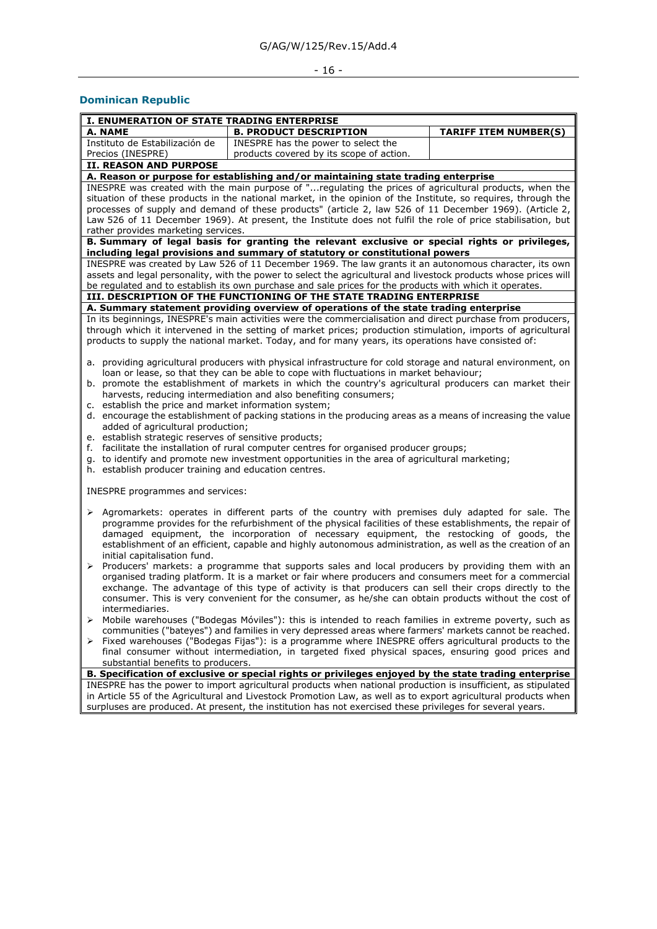# - 16 -

## <span id="page-15-0"></span>**Dominican Republic**

| I. ENUMERATION OF STATE TRADING ENTERPRISE                                                                |                                                                                                                                                                                |                              |  |  |  |  |
|-----------------------------------------------------------------------------------------------------------|--------------------------------------------------------------------------------------------------------------------------------------------------------------------------------|------------------------------|--|--|--|--|
| A. NAME                                                                                                   | <b>B. PRODUCT DESCRIPTION</b>                                                                                                                                                  | <b>TARIFF ITEM NUMBER(S)</b> |  |  |  |  |
| Instituto de Estabilización de                                                                            | INESPRE has the power to select the                                                                                                                                            |                              |  |  |  |  |
| Precios (INESPRE)                                                                                         | products covered by its scope of action.                                                                                                                                       |                              |  |  |  |  |
| II. REASON AND PURPOSE                                                                                    |                                                                                                                                                                                |                              |  |  |  |  |
|                                                                                                           | A. Reason or purpose for establishing and/or maintaining state trading enterprise                                                                                              |                              |  |  |  |  |
|                                                                                                           | INESPRE was created with the main purpose of "regulating the prices of agricultural products, when the                                                                         |                              |  |  |  |  |
|                                                                                                           | situation of these products in the national market, in the opinion of the Institute, so requires, through the                                                                  |                              |  |  |  |  |
|                                                                                                           | processes of supply and demand of these products" (article 2, law 526 of 11 December 1969). (Article 2,                                                                        |                              |  |  |  |  |
|                                                                                                           | Law 526 of 11 December 1969). At present, the Institute does not fulfil the role of price stabilisation, but                                                                   |                              |  |  |  |  |
| rather provides marketing services.                                                                       |                                                                                                                                                                                |                              |  |  |  |  |
|                                                                                                           | B. Summary of legal basis for granting the relevant exclusive or special rights or privileges,<br>including legal provisions and summary of statutory or constitutional powers |                              |  |  |  |  |
|                                                                                                           | INESPRE was created by Law 526 of 11 December 1969. The law grants it an autonomous character, its own                                                                         |                              |  |  |  |  |
|                                                                                                           | assets and legal personality, with the power to select the agricultural and livestock products whose prices will                                                               |                              |  |  |  |  |
|                                                                                                           | be regulated and to establish its own purchase and sale prices for the products with which it operates.                                                                        |                              |  |  |  |  |
|                                                                                                           | III. DESCRIPTION OF THE FUNCTIONING OF THE STATE TRADING ENTERPRISE                                                                                                            |                              |  |  |  |  |
|                                                                                                           | A. Summary statement providing overview of operations of the state trading enterprise                                                                                          |                              |  |  |  |  |
|                                                                                                           | In its beginnings, INESPRE's main activities were the commercialisation and direct purchase from producers,                                                                    |                              |  |  |  |  |
|                                                                                                           | through which it intervened in the setting of market prices; production stimulation, imports of agricultural                                                                   |                              |  |  |  |  |
|                                                                                                           | products to supply the national market. Today, and for many years, its operations have consisted of:                                                                           |                              |  |  |  |  |
|                                                                                                           |                                                                                                                                                                                |                              |  |  |  |  |
|                                                                                                           | a. providing agricultural producers with physical infrastructure for cold storage and natural environment, on                                                                  |                              |  |  |  |  |
|                                                                                                           | loan or lease, so that they can be able to cope with fluctuations in market behaviour;                                                                                         |                              |  |  |  |  |
|                                                                                                           | b. promote the establishment of markets in which the country's agricultural producers can market their                                                                         |                              |  |  |  |  |
|                                                                                                           | harvests, reducing intermediation and also benefiting consumers;                                                                                                               |                              |  |  |  |  |
| c. establish the price and market information system;                                                     |                                                                                                                                                                                |                              |  |  |  |  |
|                                                                                                           | d. encourage the establishment of packing stations in the producing areas as a means of increasing the value                                                                   |                              |  |  |  |  |
| added of agricultural production;                                                                         |                                                                                                                                                                                |                              |  |  |  |  |
| e. establish strategic reserves of sensitive products;                                                    |                                                                                                                                                                                |                              |  |  |  |  |
|                                                                                                           | f. facilitate the installation of rural computer centres for organised producer groups;                                                                                        |                              |  |  |  |  |
|                                                                                                           | g. to identify and promote new investment opportunities in the area of agricultural marketing;                                                                                 |                              |  |  |  |  |
| h. establish producer training and education centres.                                                     |                                                                                                                                                                                |                              |  |  |  |  |
|                                                                                                           |                                                                                                                                                                                |                              |  |  |  |  |
| INESPRE programmes and services:                                                                          |                                                                                                                                                                                |                              |  |  |  |  |
|                                                                                                           |                                                                                                                                                                                |                              |  |  |  |  |
|                                                                                                           | > Agromarkets: operates in different parts of the country with premises duly adapted for sale. The                                                                             |                              |  |  |  |  |
|                                                                                                           | programme provides for the refurbishment of the physical facilities of these establishments, the repair of                                                                     |                              |  |  |  |  |
|                                                                                                           | damaged equipment, the incorporation of necessary equipment, the restocking of goods, the                                                                                      |                              |  |  |  |  |
|                                                                                                           | establishment of an efficient, capable and highly autonomous administration, as well as the creation of an                                                                     |                              |  |  |  |  |
| initial capitalisation fund.                                                                              |                                                                                                                                                                                |                              |  |  |  |  |
| ➤                                                                                                         | Producers' markets: a programme that supports sales and local producers by providing them with an                                                                              |                              |  |  |  |  |
|                                                                                                           | organised trading platform. It is a market or fair where producers and consumers meet for a commercial                                                                         |                              |  |  |  |  |
|                                                                                                           | exchange. The advantage of this type of activity is that producers can sell their crops directly to the                                                                        |                              |  |  |  |  |
|                                                                                                           | consumer. This is very convenient for the consumer, as he/she can obtain products without the cost of                                                                          |                              |  |  |  |  |
| intermediaries.                                                                                           |                                                                                                                                                                                |                              |  |  |  |  |
|                                                                                                           | Mobile warehouses ("Bodegas Móviles"): this is intended to reach families in extreme poverty, such as                                                                          |                              |  |  |  |  |
|                                                                                                           | communities ("bateyes") and families in very depressed areas where farmers' markets cannot be reached.                                                                         |                              |  |  |  |  |
|                                                                                                           | > Fixed warehouses ("Bodegas Fijas"): is a programme where INESPRE offers agricultural products to the                                                                         |                              |  |  |  |  |
|                                                                                                           | final consumer without intermediation, in targeted fixed physical spaces, ensuring good prices and                                                                             |                              |  |  |  |  |
| substantial benefits to producers.                                                                        |                                                                                                                                                                                |                              |  |  |  |  |
|                                                                                                           | B. Specification of exclusive or special rights or privileges enjoyed by the state trading enterprise                                                                          |                              |  |  |  |  |
|                                                                                                           | INESPRE has the power to import agricultural products when national production is insufficient, as stipulated                                                                  |                              |  |  |  |  |
|                                                                                                           | in Article 55 of the Agricultural and Livestock Promotion Law, as well as to export agricultural products when                                                                 |                              |  |  |  |  |
| surpluses are produced. At present, the institution has not exercised these privileges for several years. |                                                                                                                                                                                |                              |  |  |  |  |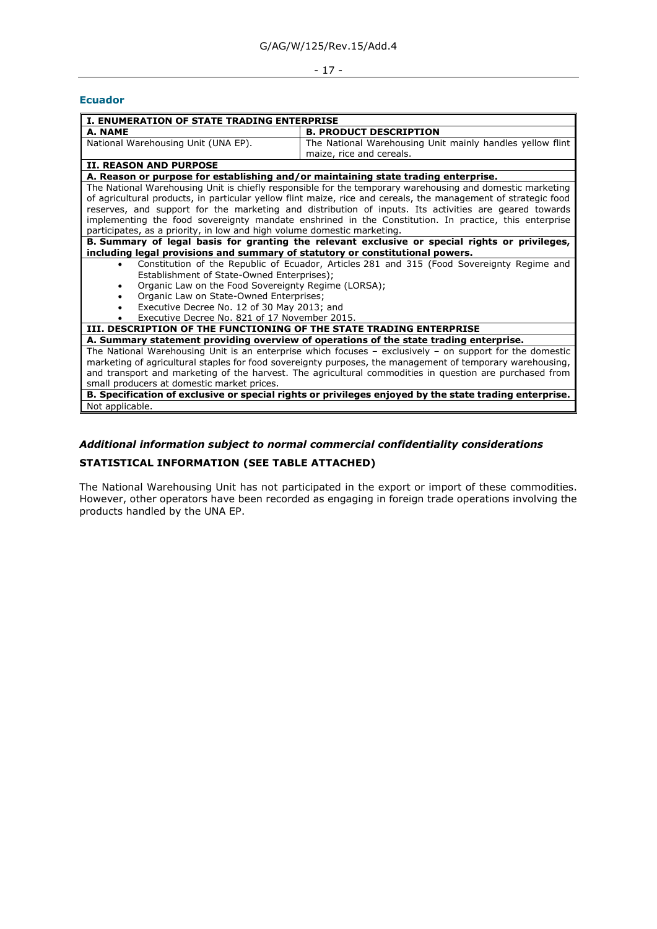## - 17 -

#### <span id="page-16-0"></span>**Ecuador**

| <b>I. ENUMERATION OF STATE TRADING ENTERPRISE</b>                                                            |                                                                                                                |  |  |  |  |
|--------------------------------------------------------------------------------------------------------------|----------------------------------------------------------------------------------------------------------------|--|--|--|--|
| A. NAME                                                                                                      | <b>B. PRODUCT DESCRIPTION</b>                                                                                  |  |  |  |  |
| National Warehousing Unit (UNA EP).                                                                          | The National Warehousing Unit mainly handles yellow flint                                                      |  |  |  |  |
|                                                                                                              | maize, rice and cereals.                                                                                       |  |  |  |  |
| <b>II. REASON AND PURPOSE</b>                                                                                |                                                                                                                |  |  |  |  |
| A. Reason or purpose for establishing and/or maintaining state trading enterprise.                           |                                                                                                                |  |  |  |  |
|                                                                                                              | The National Warehousing Unit is chiefly responsible for the temporary warehousing and domestic marketing      |  |  |  |  |
|                                                                                                              | of agricultural products, in particular yellow flint maize, rice and cereals, the management of strategic food |  |  |  |  |
|                                                                                                              | reserves, and support for the marketing and distribution of inputs. Its activities are geared towards          |  |  |  |  |
|                                                                                                              | implementing the food sovereignty mandate enshrined in the Constitution. In practice, this enterprise          |  |  |  |  |
| participates, as a priority, in low and high volume domestic marketing.                                      |                                                                                                                |  |  |  |  |
|                                                                                                              | B. Summary of legal basis for granting the relevant exclusive or special rights or privileges,                 |  |  |  |  |
| including legal provisions and summary of statutory or constitutional powers.                                |                                                                                                                |  |  |  |  |
| $\bullet$                                                                                                    | Constitution of the Republic of Ecuador, Articles 281 and 315 (Food Sovereignty Regime and                     |  |  |  |  |
| Establishment of State-Owned Enterprises);                                                                   |                                                                                                                |  |  |  |  |
| Organic Law on the Food Sovereignty Regime (LORSA);<br>$\bullet$                                             |                                                                                                                |  |  |  |  |
| Organic Law on State-Owned Enterprises;<br>$\bullet$                                                         |                                                                                                                |  |  |  |  |
| Executive Decree No. 12 of 30 May 2013; and                                                                  |                                                                                                                |  |  |  |  |
| Executive Decree No. 821 of 17 November 2015.                                                                |                                                                                                                |  |  |  |  |
| III. DESCRIPTION OF THE FUNCTIONING OF THE STATE TRADING ENTERPRISE                                          |                                                                                                                |  |  |  |  |
|                                                                                                              | A. Summary statement providing overview of operations of the state trading enterprise.                         |  |  |  |  |
| The National Warehousing Unit is an enterprise which focuses $-$ exclusively $-$ on support for the domestic |                                                                                                                |  |  |  |  |
| marketing of agricultural staples for food sovereignty purposes, the management of temporary warehousing,    |                                                                                                                |  |  |  |  |
| and transport and marketing of the harvest. The agricultural commodities in question are purchased from      |                                                                                                                |  |  |  |  |
| small producers at domestic market prices.                                                                   |                                                                                                                |  |  |  |  |
|                                                                                                              | B. Specification of exclusive or special rights or privileges enjoyed by the state trading enterprise.         |  |  |  |  |
| Not applicable.                                                                                              |                                                                                                                |  |  |  |  |

## *Additional information subject to normal commercial confidentiality considerations*

## **STATISTICAL INFORMATION (SEE TABLE ATTACHED)**

The National Warehousing Unit has not participated in the export or import of these commodities. However, other operators have been recorded as engaging in foreign trade operations involving the products handled by the UNA EP.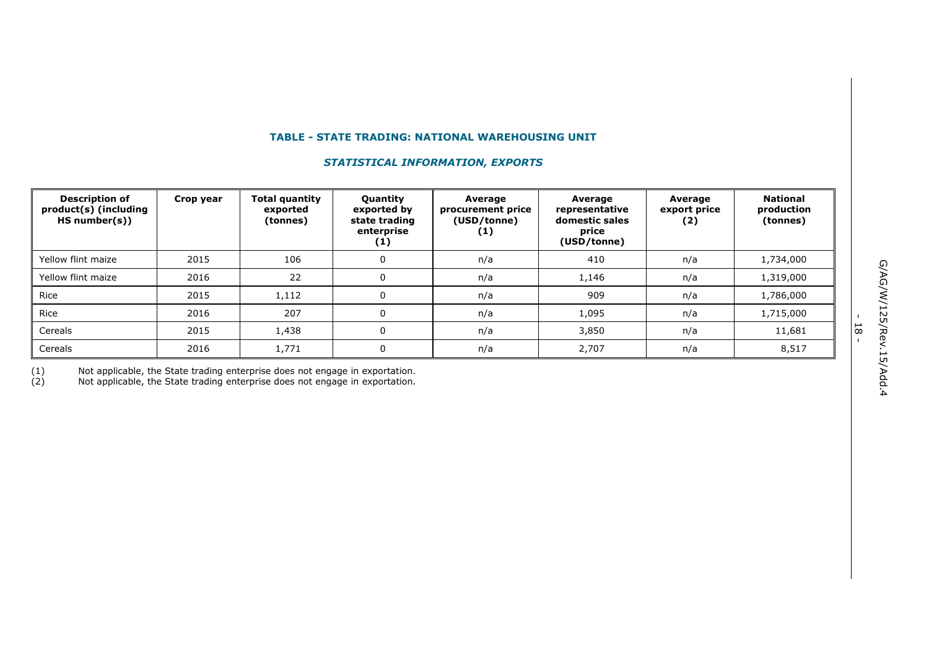## **TABLE - STATE TRADING: NATIONAL WAREHOUSING UNIT**

## *STATISTICAL INFORMATION, EXPORTS*

| <b>Description of</b><br>product(s) (including<br>HS number(s) | Crop year | <b>Total quantity</b><br>exported<br>(tonnes) | <b>Quantity</b><br>exported by<br>state trading<br>enterprise<br>$\left(1\right)$ | Average<br>procurement price<br>(USD/tonne)<br>$\left(1\right)$ | Average<br>representative<br>domestic sales<br>price<br>(USD/tonne) | Average<br>export price<br>(2) | <b>National</b><br>production<br>(tonnes) |
|----------------------------------------------------------------|-----------|-----------------------------------------------|-----------------------------------------------------------------------------------|-----------------------------------------------------------------|---------------------------------------------------------------------|--------------------------------|-------------------------------------------|
| Yellow flint maize                                             | 2015      | 106                                           | 0                                                                                 | n/a                                                             | 410                                                                 | n/a                            | 1,734,000                                 |
| Yellow flint maize                                             | 2016      | 22                                            | 0                                                                                 | n/a                                                             | 1,146                                                               | n/a                            | 1,319,000                                 |
| Rice                                                           | 2015      | 1,112                                         | $\mathbf{0}$                                                                      | n/a                                                             | 909                                                                 | n/a                            | 1,786,000                                 |
| Rice                                                           | 2016      | 207                                           | $\mathbf{0}$                                                                      | n/a                                                             | 1,095                                                               | n/a                            | 1,715,000                                 |
| Cereals                                                        | 2015      | 1,438                                         | $\Omega$                                                                          | n/a                                                             | 3,850                                                               | n/a                            | 11,681                                    |
| Cereals                                                        | 2016      | 1,771                                         | $\Omega$                                                                          | n/a                                                             | 2,707                                                               | n/a                            | 8,517                                     |

(1) Not applicable, the State trading enterprise does not engage in exportation.

(2) Not applicable, the State trading enterprise does not engage in exportation.

- 18 -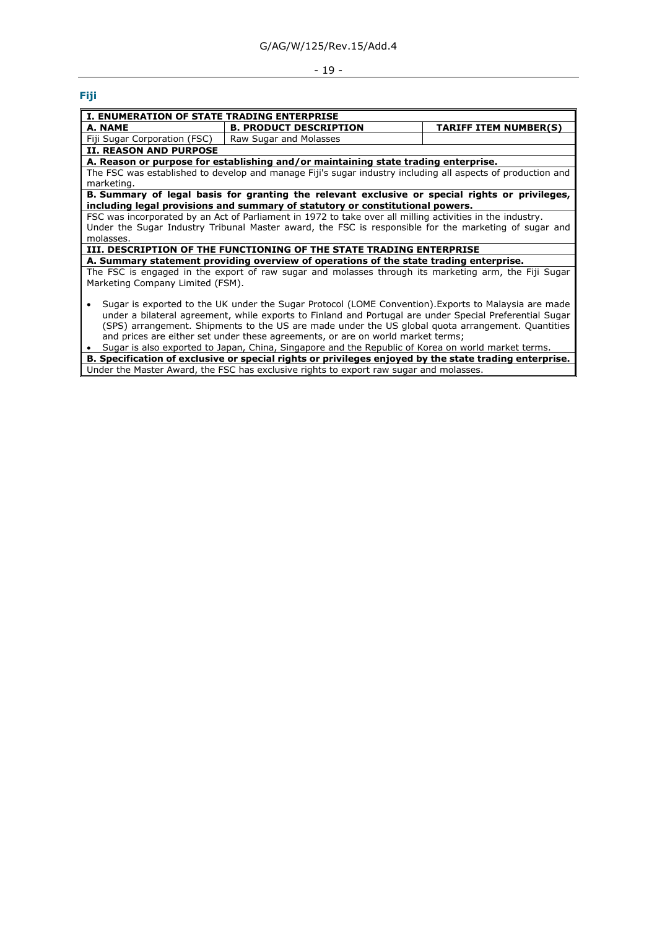## - 19 -

## <span id="page-18-0"></span>**Fiji**

| <b>I. ENUMERATION OF STATE TRADING ENTERPRISE</b>                                                       |                                                                                                             |                              |  |  |  |  |
|---------------------------------------------------------------------------------------------------------|-------------------------------------------------------------------------------------------------------------|------------------------------|--|--|--|--|
| A. NAME                                                                                                 | <b>B. PRODUCT DESCRIPTION</b>                                                                               | <b>TARIFF ITEM NUMBER(S)</b> |  |  |  |  |
| Fiji Sugar Corporation (FSC)                                                                            | Raw Sugar and Molasses                                                                                      |                              |  |  |  |  |
| <b>II. REASON AND PURPOSE</b>                                                                           |                                                                                                             |                              |  |  |  |  |
|                                                                                                         | A. Reason or purpose for establishing and/or maintaining state trading enterprise.                          |                              |  |  |  |  |
|                                                                                                         | The FSC was established to develop and manage Fiji's sugar industry including all aspects of production and |                              |  |  |  |  |
| marketing.                                                                                              |                                                                                                             |                              |  |  |  |  |
|                                                                                                         | B. Summary of legal basis for granting the relevant exclusive or special rights or privileges,              |                              |  |  |  |  |
|                                                                                                         | including legal provisions and summary of statutory or constitutional powers.                               |                              |  |  |  |  |
|                                                                                                         | FSC was incorporated by an Act of Parliament in 1972 to take over all milling activities in the industry.   |                              |  |  |  |  |
|                                                                                                         | Under the Sugar Industry Tribunal Master award, the FSC is responsible for the marketing of sugar and       |                              |  |  |  |  |
| molasses.                                                                                               |                                                                                                             |                              |  |  |  |  |
|                                                                                                         | III. DESCRIPTION OF THE FUNCTIONING OF THE STATE TRADING ENTERPRISE                                         |                              |  |  |  |  |
|                                                                                                         | A. Summary statement providing overview of operations of the state trading enterprise.                      |                              |  |  |  |  |
|                                                                                                         | The FSC is engaged in the export of raw sugar and molasses through its marketing arm, the Fiji Sugar        |                              |  |  |  |  |
| Marketing Company Limited (FSM).                                                                        |                                                                                                             |                              |  |  |  |  |
|                                                                                                         |                                                                                                             |                              |  |  |  |  |
|                                                                                                         | Sugar is exported to the UK under the Sugar Protocol (LOME Convention). Exports to Malaysia are made        |                              |  |  |  |  |
| under a bilateral agreement, while exports to Finland and Portugal are under Special Preferential Sugar |                                                                                                             |                              |  |  |  |  |
| (SPS) arrangement. Shipments to the US are made under the US global quota arrangement. Quantities       |                                                                                                             |                              |  |  |  |  |
| and prices are either set under these agreements, or are on world market terms;                         |                                                                                                             |                              |  |  |  |  |
| Sugar is also exported to Japan, China, Singapore and the Republic of Korea on world market terms.      |                                                                                                             |                              |  |  |  |  |
|                                                                                                         | B. Specification of exclusive or special rights or privileges enjoyed by the state trading enterprise.      |                              |  |  |  |  |
|                                                                                                         | Under the Master Award, the FSC has exclusive rights to export raw sugar and molasses.                      |                              |  |  |  |  |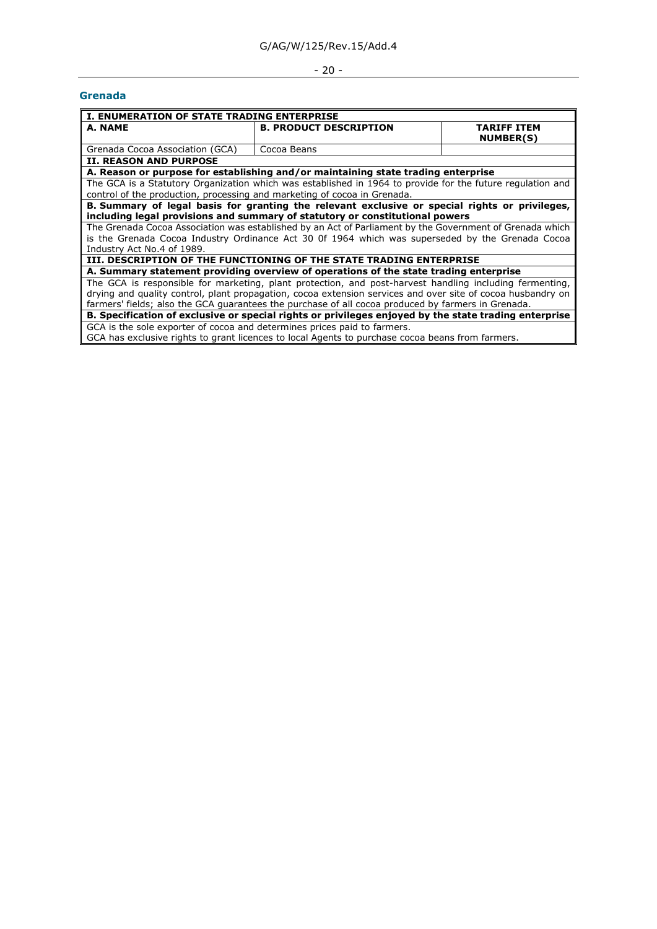# $- 20 -$

#### <span id="page-19-0"></span>**Grenada**

|                                                                                                             | <b>I. ENUMERATION OF STATE TRADING ENTERPRISE</b>                                                          |                                        |  |  |  |  |  |
|-------------------------------------------------------------------------------------------------------------|------------------------------------------------------------------------------------------------------------|----------------------------------------|--|--|--|--|--|
| A. NAME                                                                                                     | <b>B. PRODUCT DESCRIPTION</b>                                                                              | <b>TARIFF ITEM</b><br><b>NUMBER(S)</b> |  |  |  |  |  |
| Grenada Cocoa Association (GCA)                                                                             | Cocoa Beans                                                                                                |                                        |  |  |  |  |  |
| <b>II. REASON AND PURPOSE</b>                                                                               |                                                                                                            |                                        |  |  |  |  |  |
|                                                                                                             | A. Reason or purpose for establishing and/or maintaining state trading enterprise                          |                                        |  |  |  |  |  |
|                                                                                                             | The GCA is a Statutory Organization which was established in 1964 to provide for the future regulation and |                                        |  |  |  |  |  |
| control of the production, processing and marketing of cocoa in Grenada.                                    |                                                                                                            |                                        |  |  |  |  |  |
|                                                                                                             | B. Summary of legal basis for granting the relevant exclusive or special rights or privileges,             |                                        |  |  |  |  |  |
|                                                                                                             | including legal provisions and summary of statutory or constitutional powers                               |                                        |  |  |  |  |  |
|                                                                                                             | The Grenada Cocoa Association was established by an Act of Parliament by the Government of Grenada which   |                                        |  |  |  |  |  |
|                                                                                                             | is the Grenada Cocoa Industry Ordinance Act 30 0f 1964 which was superseded by the Grenada Cocoa           |                                        |  |  |  |  |  |
| Industry Act No.4 of 1989.                                                                                  |                                                                                                            |                                        |  |  |  |  |  |
|                                                                                                             | III. DESCRIPTION OF THE FUNCTIONING OF THE STATE TRADING ENTERPRISE                                        |                                        |  |  |  |  |  |
|                                                                                                             | A. Summary statement providing overview of operations of the state trading enterprise                      |                                        |  |  |  |  |  |
|                                                                                                             | The GCA is responsible for marketing, plant protection, and post-harvest handling including fermenting,    |                                        |  |  |  |  |  |
| drying and quality control, plant propagation, cocoa extension services and over site of cocoa husbandry on |                                                                                                            |                                        |  |  |  |  |  |
| farmers' fields; also the GCA guarantees the purchase of all cocoa produced by farmers in Grenada.          |                                                                                                            |                                        |  |  |  |  |  |
|                                                                                                             | B. Specification of exclusive or special rights or privileges enjoyed by the state trading enterprise      |                                        |  |  |  |  |  |
| GCA is the sole exporter of cocoa and determines prices paid to farmers.                                    |                                                                                                            |                                        |  |  |  |  |  |
|                                                                                                             | GCA has exclusive rights to grant licences to local Agents to purchase cocoa beans from farmers.           |                                        |  |  |  |  |  |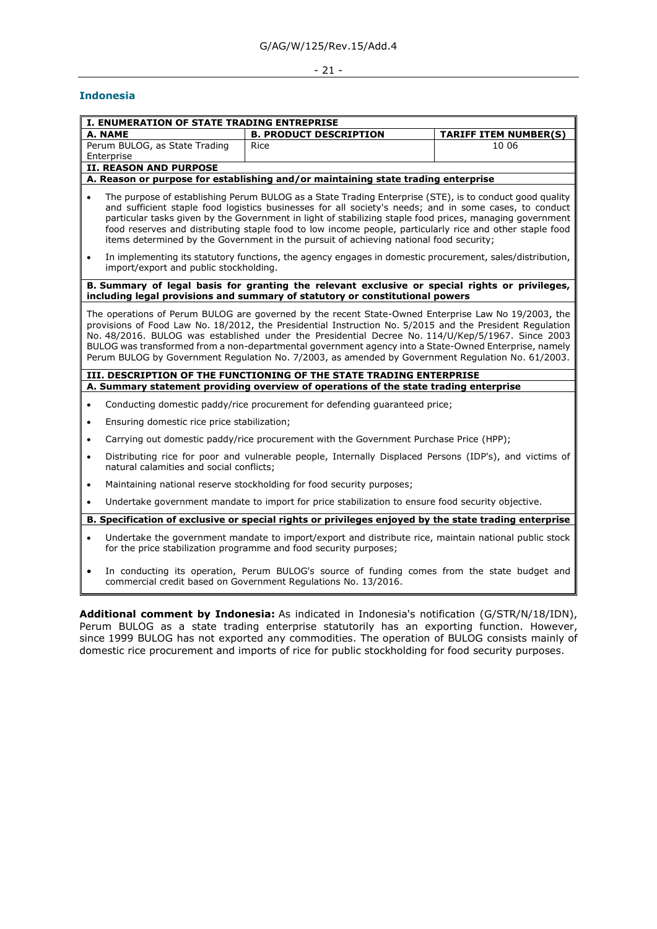## - 21 -

 $\overline{\phantom{a}}$ 

## <span id="page-20-0"></span>**Indonesia**

|           | I. ENUMERATION OF STATE TRADING ENTREPRISE                                                                                                                                                                                                                                                                                                                                                                                                                                                                                          |                                                                                                                                                                                                                                                                                                                                                                                                                                                                                                                                    |                              |  |  |  |
|-----------|-------------------------------------------------------------------------------------------------------------------------------------------------------------------------------------------------------------------------------------------------------------------------------------------------------------------------------------------------------------------------------------------------------------------------------------------------------------------------------------------------------------------------------------|------------------------------------------------------------------------------------------------------------------------------------------------------------------------------------------------------------------------------------------------------------------------------------------------------------------------------------------------------------------------------------------------------------------------------------------------------------------------------------------------------------------------------------|------------------------------|--|--|--|
|           | A. NAME                                                                                                                                                                                                                                                                                                                                                                                                                                                                                                                             | <b>B. PRODUCT DESCRIPTION</b>                                                                                                                                                                                                                                                                                                                                                                                                                                                                                                      | <b>TARIFF ITEM NUMBER(S)</b> |  |  |  |
|           | Perum BULOG, as State Trading                                                                                                                                                                                                                                                                                                                                                                                                                                                                                                       | Rice                                                                                                                                                                                                                                                                                                                                                                                                                                                                                                                               | 10 06                        |  |  |  |
|           | Enterprise<br><b>II. REASON AND PURPOSE</b>                                                                                                                                                                                                                                                                                                                                                                                                                                                                                         |                                                                                                                                                                                                                                                                                                                                                                                                                                                                                                                                    |                              |  |  |  |
|           |                                                                                                                                                                                                                                                                                                                                                                                                                                                                                                                                     | A. Reason or purpose for establishing and/or maintaining state trading enterprise                                                                                                                                                                                                                                                                                                                                                                                                                                                  |                              |  |  |  |
|           | The purpose of establishing Perum BULOG as a State Trading Enterprise (STE), is to conduct good quality<br>and sufficient staple food logistics businesses for all society's needs; and in some cases, to conduct<br>particular tasks given by the Government in light of stabilizing staple food prices, managing government<br>food reserves and distributing staple food to low income people, particularly rice and other staple food<br>items determined by the Government in the pursuit of achieving national food security; |                                                                                                                                                                                                                                                                                                                                                                                                                                                                                                                                    |                              |  |  |  |
| $\bullet$ | import/export and public stockholding.                                                                                                                                                                                                                                                                                                                                                                                                                                                                                              | In implementing its statutory functions, the agency engages in domestic procurement, sales/distribution,                                                                                                                                                                                                                                                                                                                                                                                                                           |                              |  |  |  |
|           |                                                                                                                                                                                                                                                                                                                                                                                                                                                                                                                                     | B. Summary of legal basis for granting the relevant exclusive or special rights or privileges,<br>including legal provisions and summary of statutory or constitutional powers                                                                                                                                                                                                                                                                                                                                                     |                              |  |  |  |
|           |                                                                                                                                                                                                                                                                                                                                                                                                                                                                                                                                     | The operations of Perum BULOG are governed by the recent State-Owned Enterprise Law No 19/2003, the<br>provisions of Food Law No. 18/2012, the Presidential Instruction No. 5/2015 and the President Regulation<br>No. 48/2016. BULOG was established under the Presidential Decree No. 114/U/Kep/5/1967. Since 2003<br>BULOG was transformed from a non-departmental government agency into a State-Owned Enterprise, namely<br>Perum BULOG by Government Regulation No. 7/2003, as amended by Government Regulation No. 61/2003. |                              |  |  |  |
|           |                                                                                                                                                                                                                                                                                                                                                                                                                                                                                                                                     | III. DESCRIPTION OF THE FUNCTIONING OF THE STATE TRADING ENTERPRISE                                                                                                                                                                                                                                                                                                                                                                                                                                                                |                              |  |  |  |
|           |                                                                                                                                                                                                                                                                                                                                                                                                                                                                                                                                     | A. Summary statement providing overview of operations of the state trading enterprise                                                                                                                                                                                                                                                                                                                                                                                                                                              |                              |  |  |  |
| $\bullet$ |                                                                                                                                                                                                                                                                                                                                                                                                                                                                                                                                     | Conducting domestic paddy/rice procurement for defending quaranteed price;                                                                                                                                                                                                                                                                                                                                                                                                                                                         |                              |  |  |  |
| $\bullet$ | Ensuring domestic rice price stabilization;                                                                                                                                                                                                                                                                                                                                                                                                                                                                                         |                                                                                                                                                                                                                                                                                                                                                                                                                                                                                                                                    |                              |  |  |  |
| $\bullet$ |                                                                                                                                                                                                                                                                                                                                                                                                                                                                                                                                     | Carrying out domestic paddy/rice procurement with the Government Purchase Price (HPP);                                                                                                                                                                                                                                                                                                                                                                                                                                             |                              |  |  |  |
| $\bullet$ | natural calamities and social conflicts;                                                                                                                                                                                                                                                                                                                                                                                                                                                                                            | Distributing rice for poor and vulnerable people, Internally Displaced Persons (IDP's), and victims of                                                                                                                                                                                                                                                                                                                                                                                                                             |                              |  |  |  |
| $\bullet$ |                                                                                                                                                                                                                                                                                                                                                                                                                                                                                                                                     | Maintaining national reserve stockholding for food security purposes;                                                                                                                                                                                                                                                                                                                                                                                                                                                              |                              |  |  |  |
| $\bullet$ |                                                                                                                                                                                                                                                                                                                                                                                                                                                                                                                                     | Undertake government mandate to import for price stabilization to ensure food security objective.                                                                                                                                                                                                                                                                                                                                                                                                                                  |                              |  |  |  |
|           | B. Specification of exclusive or special rights or privileges enjoyed by the state trading enterprise                                                                                                                                                                                                                                                                                                                                                                                                                               |                                                                                                                                                                                                                                                                                                                                                                                                                                                                                                                                    |                              |  |  |  |
| $\bullet$ | Undertake the government mandate to import/export and distribute rice, maintain national public stock<br>for the price stabilization programme and food security purposes;                                                                                                                                                                                                                                                                                                                                                          |                                                                                                                                                                                                                                                                                                                                                                                                                                                                                                                                    |                              |  |  |  |
|           |                                                                                                                                                                                                                                                                                                                                                                                                                                                                                                                                     | In conducting its operation, Perum BULOG's source of funding comes from the state budget and<br>commercial credit based on Government Regulations No. 13/2016.                                                                                                                                                                                                                                                                                                                                                                     |                              |  |  |  |
|           | Additional comment by Indonesia: As indicated in Indonesia's notification (G/STR/N/18/IDN),<br>Perum BULOG as a state trading enterprise statutorily has an exporting function. However,<br>since 1999 BULOG has not exported any commodities. The operation of BULOG consists mainly of<br>domestic rice procurement and imports of rice for public stockholding for food security purposes.                                                                                                                                       |                                                                                                                                                                                                                                                                                                                                                                                                                                                                                                                                    |                              |  |  |  |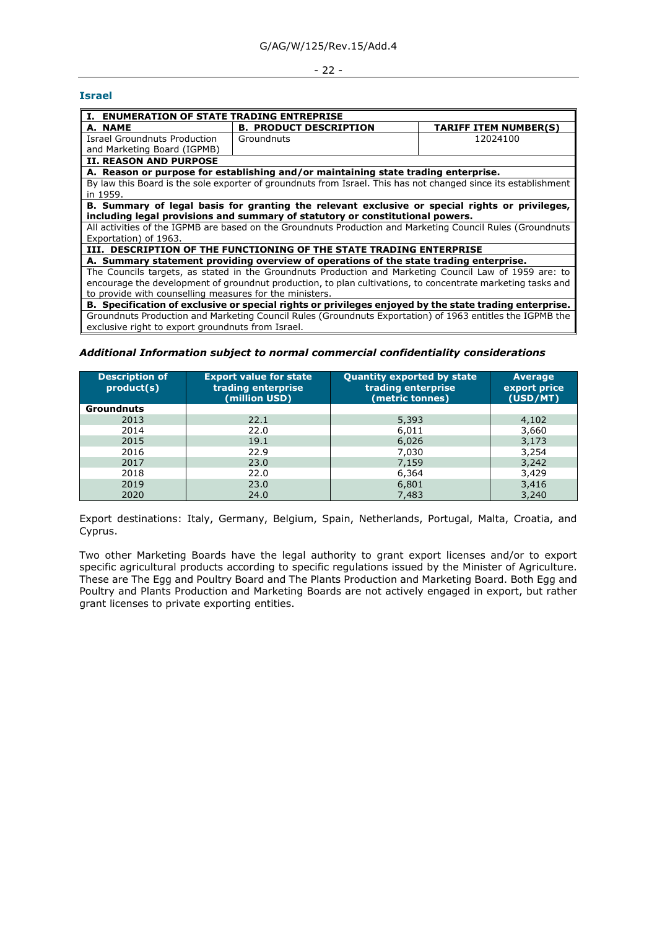#### - 22 -

#### <span id="page-21-0"></span>**Israel**

| I. ENUMERATION OF STATE TRADING ENTREPRISE                                                                  |                                                                                                                |                              |  |  |  |
|-------------------------------------------------------------------------------------------------------------|----------------------------------------------------------------------------------------------------------------|------------------------------|--|--|--|
| A. NAME                                                                                                     | <b>B. PRODUCT DESCRIPTION</b>                                                                                  | <b>TARIFF ITEM NUMBER(S)</b> |  |  |  |
| Israel Groundnuts Production                                                                                | Groundnuts                                                                                                     | 12024100                     |  |  |  |
| and Marketing Board (IGPMB)                                                                                 |                                                                                                                |                              |  |  |  |
| <b>II. REASON AND PURPOSE</b>                                                                               |                                                                                                                |                              |  |  |  |
|                                                                                                             | A. Reason or purpose for establishing and/or maintaining state trading enterprise.                             |                              |  |  |  |
|                                                                                                             | By law this Board is the sole exporter of groundnuts from Israel. This has not changed since its establishment |                              |  |  |  |
| in 1959.                                                                                                    |                                                                                                                |                              |  |  |  |
|                                                                                                             | B. Summary of legal basis for granting the relevant exclusive or special rights or privileges,                 |                              |  |  |  |
|                                                                                                             | including legal provisions and summary of statutory or constitutional powers.                                  |                              |  |  |  |
|                                                                                                             | All activities of the IGPMB are based on the Groundnuts Production and Marketing Council Rules (Groundnuts     |                              |  |  |  |
| Exportation) of 1963.                                                                                       |                                                                                                                |                              |  |  |  |
|                                                                                                             | III. DESCRIPTION OF THE FUNCTIONING OF THE STATE TRADING ENTERPRISE                                            |                              |  |  |  |
| A. Summary statement providing overview of operations of the state trading enterprise.                      |                                                                                                                |                              |  |  |  |
|                                                                                                             | The Councils targets, as stated in the Groundnuts Production and Marketing Council Law of 1959 are: to         |                              |  |  |  |
| encourage the development of groundnut production, to plan cultivations, to concentrate marketing tasks and |                                                                                                                |                              |  |  |  |
| to provide with counselling measures for the ministers.                                                     |                                                                                                                |                              |  |  |  |
| B. Specification of exclusive or special rights or privileges enjoyed by the state trading enterprise.      |                                                                                                                |                              |  |  |  |
|                                                                                                             | Groundnuts Production and Marketing Council Rules (Groundnuts Exportation) of 1963 entitles the IGPMB the      |                              |  |  |  |
| exclusive right to export groundnuts from Israel.                                                           |                                                                                                                |                              |  |  |  |

## *Additional Information subject to normal commercial confidentiality considerations*

| <b>Description of</b><br>product(s) | <b>Export value for state</b><br>trading enterprise<br>(million USD) | <b>Quantity exported by state</b><br>trading enterprise<br>(metric tonnes) | <b>Average</b><br>export price<br>(USD/MT) |
|-------------------------------------|----------------------------------------------------------------------|----------------------------------------------------------------------------|--------------------------------------------|
| <b>Groundnuts</b>                   |                                                                      |                                                                            |                                            |
| 2013                                | 22.1                                                                 | 5,393                                                                      | 4,102                                      |
| 2014                                | 22.0                                                                 | 6,011                                                                      | 3,660                                      |
| 2015                                | 19.1                                                                 | 6,026                                                                      | 3,173                                      |
| 2016                                | 22.9                                                                 | 7,030                                                                      | 3,254                                      |
| 2017                                | 23.0                                                                 | 7,159                                                                      | 3,242                                      |
| 2018                                | 22.0                                                                 | 6,364                                                                      | 3,429                                      |
| 2019                                | 23.0                                                                 | 6,801                                                                      | 3,416                                      |
| 2020                                | 24.0                                                                 | 7,483                                                                      | 3,240                                      |

Export destinations: Italy, Germany, Belgium, Spain, Netherlands, Portugal, Malta, Croatia, and Cyprus.

Two other Marketing Boards have the legal authority to grant export licenses and/or to export specific agricultural products according to specific regulations issued by the Minister of Agriculture. These are The Egg and Poultry Board and The Plants Production and Marketing Board. Both Egg and Poultry and Plants Production and Marketing Boards are not actively engaged in export, but rather grant licenses to private exporting entities.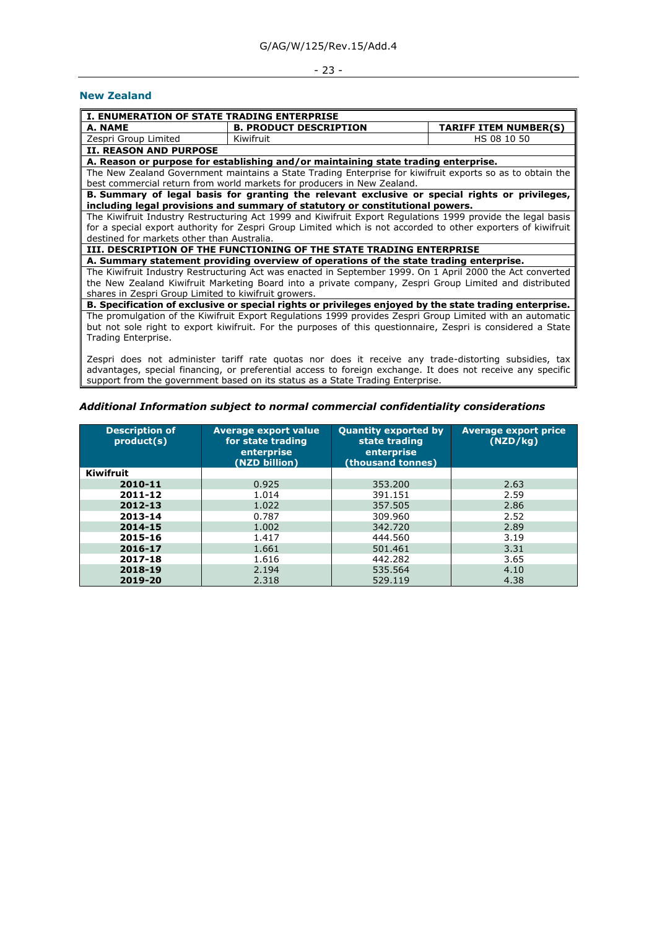### - 23 -

#### <span id="page-22-0"></span>**New Zealand**

| <b>I. ENUMERATION OF STATE TRADING ENTERPRISE</b>                                                            |                                                                                                               |                              |  |  |  |
|--------------------------------------------------------------------------------------------------------------|---------------------------------------------------------------------------------------------------------------|------------------------------|--|--|--|
| A. NAME                                                                                                      | <b>B. PRODUCT DESCRIPTION</b>                                                                                 | <b>TARIFF ITEM NUMBER(S)</b> |  |  |  |
| Zespri Group Limited                                                                                         | Kiwifruit                                                                                                     | HS 08 10 50                  |  |  |  |
| <b>II. REASON AND PURPOSE</b>                                                                                |                                                                                                               |                              |  |  |  |
|                                                                                                              | A. Reason or purpose for establishing and/or maintaining state trading enterprise.                            |                              |  |  |  |
|                                                                                                              | The New Zealand Government maintains a State Trading Enterprise for kiwifruit exports so as to obtain the     |                              |  |  |  |
|                                                                                                              | best commercial return from world markets for producers in New Zealand.                                       |                              |  |  |  |
|                                                                                                              | B. Summary of legal basis for granting the relevant exclusive or special rights or privileges,                |                              |  |  |  |
|                                                                                                              | including legal provisions and summary of statutory or constitutional powers.                                 |                              |  |  |  |
|                                                                                                              | The Kiwifruit Industry Restructuring Act 1999 and Kiwifruit Export Regulations 1999 provide the legal basis   |                              |  |  |  |
|                                                                                                              | for a special export authority for Zespri Group Limited which is not accorded to other exporters of kiwifruit |                              |  |  |  |
| destined for markets other than Australia.                                                                   |                                                                                                               |                              |  |  |  |
| III. DESCRIPTION OF THE FUNCTIONING OF THE STATE TRADING ENTERPRISE                                          |                                                                                                               |                              |  |  |  |
|                                                                                                              | A. Summary statement providing overview of operations of the state trading enterprise.                        |                              |  |  |  |
|                                                                                                              | The Kiwifruit Industry Restructuring Act was enacted in September 1999. On 1 April 2000 the Act converted     |                              |  |  |  |
| the New Zealand Kiwifruit Marketing Board into a private company, Zespri Group Limited and distributed       |                                                                                                               |                              |  |  |  |
| shares in Zespri Group Limited to kiwifruit growers.                                                         |                                                                                                               |                              |  |  |  |
|                                                                                                              | B. Specification of exclusive or special rights or privileges enjoyed by the state trading enterprise.        |                              |  |  |  |
|                                                                                                              | The promulgation of the Kiwifruit Export Regulations 1999 provides Zespri Group Limited with an automatic     |                              |  |  |  |
| but not sole right to export kiwifruit. For the purposes of this questionnaire, Zespri is considered a State |                                                                                                               |                              |  |  |  |
| Trading Enterprise.                                                                                          |                                                                                                               |                              |  |  |  |
|                                                                                                              | 70000 deep not pdpojnicten truiff upto quator par deep jt versius pau tupdo distrutiva qubeiding tau          |                              |  |  |  |

Zespri does not administer tariff rate quotas nor does it receive any trade-distorting subsidies, tax advantages, special financing, or preferential access to foreign exchange. It does not receive any specific support from the government based on its status as a State Trading Enterprise.

| <b>Description of</b><br>product(s) | <b>Average export value</b><br>for state trading<br>enterprise<br>(NZD billion) | <b>Quantity exported by</b><br>state trading<br>enterprise<br>(thousand tonnes) | <b>Average export price</b><br>(NZD/kg) |
|-------------------------------------|---------------------------------------------------------------------------------|---------------------------------------------------------------------------------|-----------------------------------------|
| Kiwifruit                           |                                                                                 |                                                                                 |                                         |
| 2010-11                             | 0.925                                                                           | 353.200                                                                         | 2.63                                    |
| 2011-12                             | 1.014                                                                           | 391.151                                                                         | 2.59                                    |
| 2012-13                             | 1.022                                                                           | 357.505                                                                         | 2.86                                    |
| 2013-14                             | 0.787                                                                           | 309.960                                                                         | 2.52                                    |
| 2014-15                             | 1.002                                                                           | 342.720                                                                         | 2.89                                    |
| 2015-16                             | 1.417                                                                           | 444.560                                                                         | 3.19                                    |
| 2016-17                             | 1.661                                                                           | 501.461                                                                         | 3.31                                    |
| 2017-18                             | 1.616                                                                           | 442.282                                                                         | 3.65                                    |

**2017-18** 1.616 **442.282** 3.65 **2018-19** 2.194 535.564 4.10 **2019-20** | 2.318 | 529.119 | 4.38

## *Additional Information subject to normal commercial confidentiality considerations*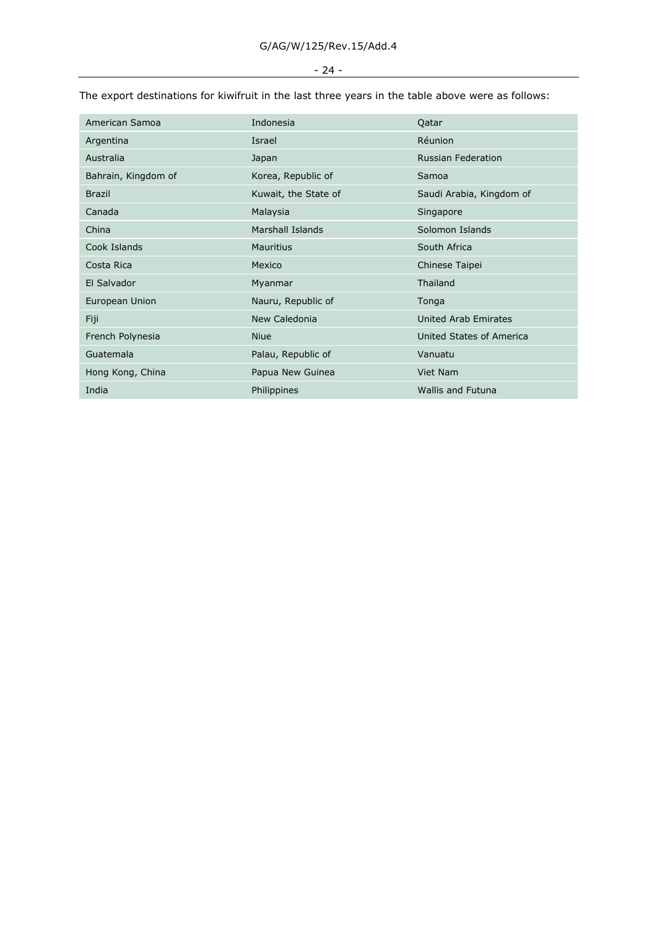## - 24 -

| American Samoa      | Indonesia               | Qatar                     |
|---------------------|-------------------------|---------------------------|
| Argentina           | Israel                  | <b>Réunion</b>            |
| Australia           | Japan                   | <b>Russian Federation</b> |
| Bahrain, Kingdom of | Korea, Republic of      | Samoa                     |
| <b>Brazil</b>       | Kuwait, the State of    | Saudi Arabia, Kingdom of  |
| Canada              | Malaysia                | Singapore                 |
| China               | <b>Marshall Islands</b> | Solomon Islands           |
| Cook Islands        | <b>Mauritius</b>        | South Africa              |
| Costa Rica          | Mexico                  | Chinese Taipei            |
| El Salvador         | Myanmar                 | Thailand                  |
| European Union      | Nauru, Republic of      | Tonga                     |
| Fiji                | New Caledonia           | United Arab Emirates      |
| French Polynesia    | <b>Niue</b>             | United States of America  |
| Guatemala           | Palau, Republic of      | Vanuatu                   |
| Hong Kong, China    | Papua New Guinea        | Viet Nam                  |
| India               | Philippines             | <b>Wallis and Futuna</b>  |

The export destinations for kiwifruit in the last three years in the table above were as follows: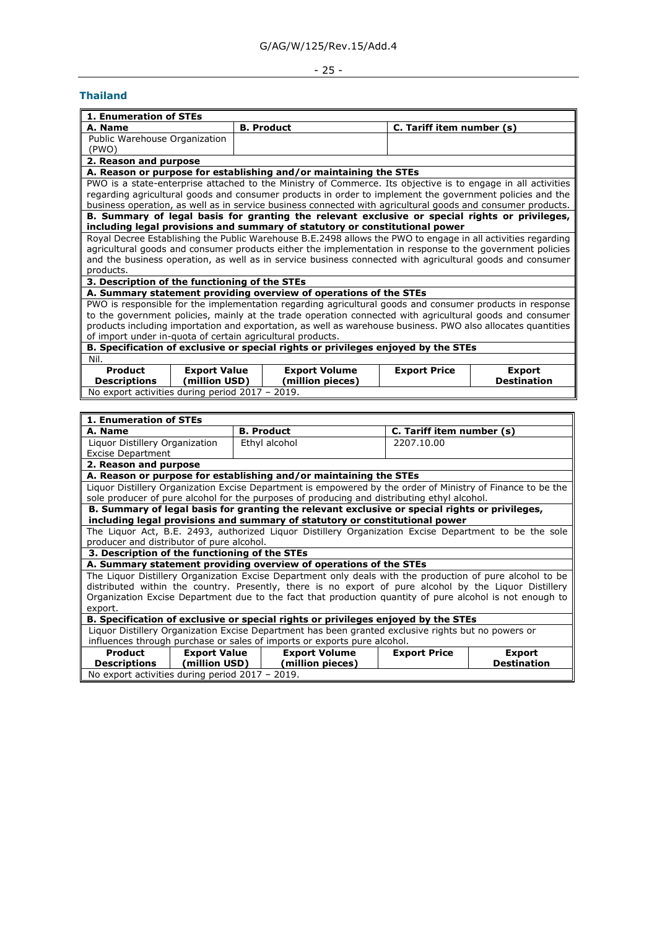## - 25 -

## <span id="page-24-0"></span>**Thailand**

| <b>1. Enumeration of STEs</b>                                                                                |                     |                                                                                                              |  |                           |               |
|--------------------------------------------------------------------------------------------------------------|---------------------|--------------------------------------------------------------------------------------------------------------|--|---------------------------|---------------|
| A. Name                                                                                                      |                     | <b>B. Product</b>                                                                                            |  | C. Tariff item number (s) |               |
| Public Warehouse Organization                                                                                |                     |                                                                                                              |  |                           |               |
| (PWO)                                                                                                        |                     |                                                                                                              |  |                           |               |
| 2. Reason and purpose                                                                                        |                     |                                                                                                              |  |                           |               |
|                                                                                                              |                     | A. Reason or purpose for establishing and/or maintaining the STEs                                            |  |                           |               |
|                                                                                                              |                     | PWO is a state-enterprise attached to the Ministry of Commerce. Its objective is to engage in all activities |  |                           |               |
|                                                                                                              |                     | regarding agricultural goods and consumer products in order to implement the government policies and the     |  |                           |               |
|                                                                                                              |                     | business operation, as well as in service business connected with agricultural goods and consumer products.  |  |                           |               |
|                                                                                                              |                     | B. Summary of legal basis for granting the relevant exclusive or special rights or privileges,               |  |                           |               |
|                                                                                                              |                     | including legal provisions and summary of statutory or constitutional power                                  |  |                           |               |
|                                                                                                              |                     | Royal Decree Establishing the Public Warehouse B.E.2498 allows the PWO to engage in all activities regarding |  |                           |               |
|                                                                                                              |                     | agricultural goods and consumer products either the implementation in response to the government policies    |  |                           |               |
|                                                                                                              |                     | and the business operation, as well as in service business connected with agricultural goods and consumer    |  |                           |               |
| products.                                                                                                    |                     |                                                                                                              |  |                           |               |
| 3. Description of the functioning of the STEs                                                                |                     |                                                                                                              |  |                           |               |
| A. Summary statement providing overview of operations of the STEs                                            |                     |                                                                                                              |  |                           |               |
| PWO is responsible for the implementation regarding agricultural goods and consumer products in response     |                     |                                                                                                              |  |                           |               |
| to the government policies, mainly at the trade operation connected with agricultural goods and consumer     |                     |                                                                                                              |  |                           |               |
| products including importation and exportation, as well as warehouse business. PWO also allocates quantities |                     |                                                                                                              |  |                           |               |
| of import under in-quota of certain agricultural products.                                                   |                     |                                                                                                              |  |                           |               |
| B. Specification of exclusive or special rights or privileges enjoyed by the STEs                            |                     |                                                                                                              |  |                           |               |
| Nil.                                                                                                         |                     |                                                                                                              |  |                           |               |
| <b>Product</b>                                                                                               | <b>Export Value</b> | <b>Export Volume</b>                                                                                         |  | <b>Export Price</b>       | <b>Export</b> |
| <b>Destination</b><br><b>Descriptions</b><br>(million USD)<br>(million pieces)                               |                     |                                                                                                              |  |                           |               |
| No export activities during period 2017 - 2019.                                                              |                     |                                                                                                              |  |                           |               |
|                                                                                                              |                     |                                                                                                              |  |                           |               |

| 1. Enumeration of STEs                                                                                      |                                                                                                           |                           |                    |  |  |
|-------------------------------------------------------------------------------------------------------------|-----------------------------------------------------------------------------------------------------------|---------------------------|--------------------|--|--|
| A. Name                                                                                                     | <b>B. Product</b>                                                                                         | C. Tariff item number (s) |                    |  |  |
| Liquor Distillery Organization                                                                              | Ethyl alcohol                                                                                             | 2207.10.00                |                    |  |  |
| <b>Excise Department</b>                                                                                    |                                                                                                           |                           |                    |  |  |
| 2. Reason and purpose                                                                                       |                                                                                                           |                           |                    |  |  |
| A. Reason or purpose for establishing and/or maintaining the STEs                                           |                                                                                                           |                           |                    |  |  |
| Liguor Distillery Organization Excise Department is empowered by the order of Ministry of Finance to be the |                                                                                                           |                           |                    |  |  |
| sole producer of pure alcohol for the purposes of producing and distributing ethyl alcohol.                 |                                                                                                           |                           |                    |  |  |
| B. Summary of legal basis for granting the relevant exclusive or special rights or privileges,              |                                                                                                           |                           |                    |  |  |
| including legal provisions and summary of statutory or constitutional power                                 |                                                                                                           |                           |                    |  |  |
| The Liguor Act, B.E. 2493, authorized Liguor Distillery Organization Excise Department to be the sole       |                                                                                                           |                           |                    |  |  |
| producer and distributor of pure alcohol.                                                                   |                                                                                                           |                           |                    |  |  |
| 3. Description of the functioning of the STEs                                                               |                                                                                                           |                           |                    |  |  |
|                                                                                                             | A. Summary statement providing overview of operations of the STEs                                         |                           |                    |  |  |
|                                                                                                             | The Liquor Distillery Organization Excise Department only deals with the production of pure alcohol to be |                           |                    |  |  |
| distributed within the country. Presently, there is no export of pure alcohol by the Liquor Distillery      |                                                                                                           |                           |                    |  |  |
| Organization Excise Department due to the fact that production quantity of pure alcohol is not enough to    |                                                                                                           |                           |                    |  |  |
| export.                                                                                                     |                                                                                                           |                           |                    |  |  |
| B. Specification of exclusive or special rights or privileges enjoyed by the STEs                           |                                                                                                           |                           |                    |  |  |
| Liguor Distillery Organization Excise Department has been granted exclusive rights but no powers or         |                                                                                                           |                           |                    |  |  |
| influences through purchase or sales of imports or exports pure alcohol.                                    |                                                                                                           |                           |                    |  |  |
| Product<br><b>Export Value</b>                                                                              | <b>Export Volume</b>                                                                                      | <b>Export Price</b>       | <b>Export</b>      |  |  |
| (million USD)  <br><b>Descriptions</b>                                                                      | (million pieces)                                                                                          |                           | <b>Destination</b> |  |  |
| No export activities during period 2017 - 2019.                                                             |                                                                                                           |                           |                    |  |  |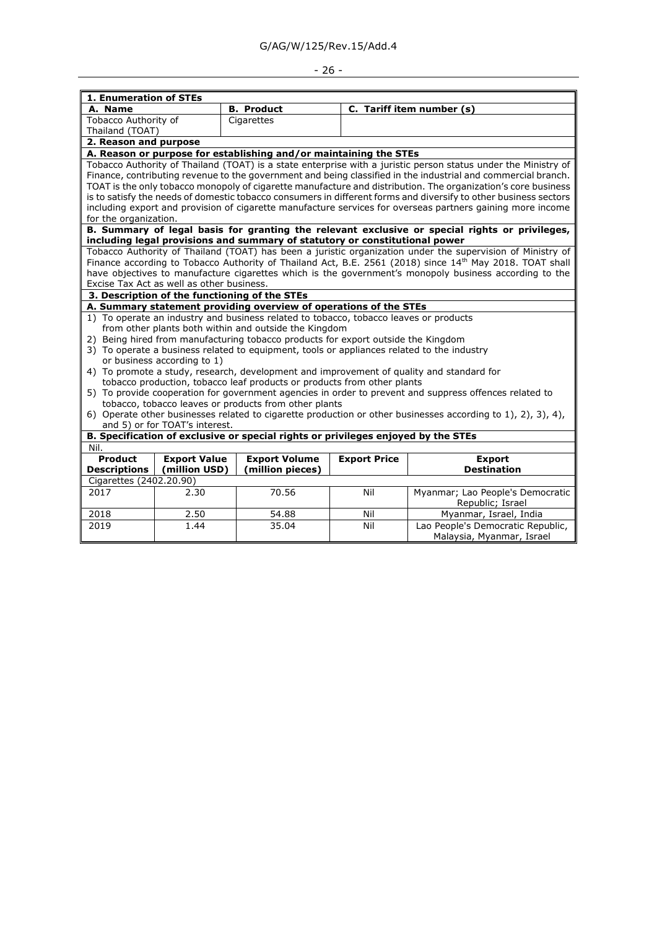# - 26 -

| 1. Enumeration of STEs                                                                                                                                                                                                                                                                                                                                                                                                                                                                                                                                                                                                                                                                                                                                                                                                                                                                                                                            |                                               |                                                                             |                     |                                                                                                                                                                                                                                                                                                                                                                                                                                                                                                                                                                                    |  |
|---------------------------------------------------------------------------------------------------------------------------------------------------------------------------------------------------------------------------------------------------------------------------------------------------------------------------------------------------------------------------------------------------------------------------------------------------------------------------------------------------------------------------------------------------------------------------------------------------------------------------------------------------------------------------------------------------------------------------------------------------------------------------------------------------------------------------------------------------------------------------------------------------------------------------------------------------|-----------------------------------------------|-----------------------------------------------------------------------------|---------------------|------------------------------------------------------------------------------------------------------------------------------------------------------------------------------------------------------------------------------------------------------------------------------------------------------------------------------------------------------------------------------------------------------------------------------------------------------------------------------------------------------------------------------------------------------------------------------------|--|
| A. Name                                                                                                                                                                                                                                                                                                                                                                                                                                                                                                                                                                                                                                                                                                                                                                                                                                                                                                                                           |                                               | <b>B.</b> Product                                                           |                     | C. Tariff item number (s)                                                                                                                                                                                                                                                                                                                                                                                                                                                                                                                                                          |  |
| Tobacco Authority of                                                                                                                                                                                                                                                                                                                                                                                                                                                                                                                                                                                                                                                                                                                                                                                                                                                                                                                              |                                               | Cigarettes                                                                  |                     |                                                                                                                                                                                                                                                                                                                                                                                                                                                                                                                                                                                    |  |
| Thailand (TOAT)                                                                                                                                                                                                                                                                                                                                                                                                                                                                                                                                                                                                                                                                                                                                                                                                                                                                                                                                   |                                               |                                                                             |                     |                                                                                                                                                                                                                                                                                                                                                                                                                                                                                                                                                                                    |  |
| 2. Reason and purpose                                                                                                                                                                                                                                                                                                                                                                                                                                                                                                                                                                                                                                                                                                                                                                                                                                                                                                                             |                                               |                                                                             |                     |                                                                                                                                                                                                                                                                                                                                                                                                                                                                                                                                                                                    |  |
|                                                                                                                                                                                                                                                                                                                                                                                                                                                                                                                                                                                                                                                                                                                                                                                                                                                                                                                                                   |                                               | A. Reason or purpose for establishing and/or maintaining the STEs           |                     |                                                                                                                                                                                                                                                                                                                                                                                                                                                                                                                                                                                    |  |
|                                                                                                                                                                                                                                                                                                                                                                                                                                                                                                                                                                                                                                                                                                                                                                                                                                                                                                                                                   |                                               |                                                                             |                     | Tobacco Authority of Thailand (TOAT) is a state enterprise with a juristic person status under the Ministry of<br>Finance, contributing revenue to the government and being classified in the industrial and commercial branch.<br>TOAT is the only tobacco monopoly of cigarette manufacture and distribution. The organization's core business<br>is to satisfy the needs of domestic tobacco consumers in different forms and diversify to other business sectors<br>including export and provision of cigarette manufacture services for overseas partners gaining more income |  |
| for the organization.                                                                                                                                                                                                                                                                                                                                                                                                                                                                                                                                                                                                                                                                                                                                                                                                                                                                                                                             |                                               |                                                                             |                     |                                                                                                                                                                                                                                                                                                                                                                                                                                                                                                                                                                                    |  |
|                                                                                                                                                                                                                                                                                                                                                                                                                                                                                                                                                                                                                                                                                                                                                                                                                                                                                                                                                   |                                               |                                                                             |                     | B. Summary of legal basis for granting the relevant exclusive or special rights or privileges,                                                                                                                                                                                                                                                                                                                                                                                                                                                                                     |  |
|                                                                                                                                                                                                                                                                                                                                                                                                                                                                                                                                                                                                                                                                                                                                                                                                                                                                                                                                                   |                                               | including legal provisions and summary of statutory or constitutional power |                     | Tobacco Authority of Thailand (TOAT) has been a juristic organization under the supervision of Ministry of                                                                                                                                                                                                                                                                                                                                                                                                                                                                         |  |
|                                                                                                                                                                                                                                                                                                                                                                                                                                                                                                                                                                                                                                                                                                                                                                                                                                                                                                                                                   | Excise Tax Act as well as other business.     |                                                                             |                     | Finance according to Tobacco Authority of Thailand Act, B.E. 2561 (2018) since 14th May 2018. TOAT shall<br>have objectives to manufacture cigarettes which is the government's monopoly business according to the                                                                                                                                                                                                                                                                                                                                                                 |  |
|                                                                                                                                                                                                                                                                                                                                                                                                                                                                                                                                                                                                                                                                                                                                                                                                                                                                                                                                                   | 3. Description of the functioning of the STEs |                                                                             |                     |                                                                                                                                                                                                                                                                                                                                                                                                                                                                                                                                                                                    |  |
|                                                                                                                                                                                                                                                                                                                                                                                                                                                                                                                                                                                                                                                                                                                                                                                                                                                                                                                                                   |                                               | A. Summary statement providing overview of operations of the STEs           |                     |                                                                                                                                                                                                                                                                                                                                                                                                                                                                                                                                                                                    |  |
| 1) To operate an industry and business related to tobacco, tobacco leaves or products<br>from other plants both within and outside the Kingdom<br>2) Being hired from manufacturing tobacco products for export outside the Kingdom<br>3) To operate a business related to equipment, tools or appliances related to the industry<br>or business according to 1)<br>4) To promote a study, research, development and improvement of quality and standard for<br>tobacco production, tobacco leaf products or products from other plants<br>5) To provide cooperation for government agencies in order to prevent and suppress offences related to<br>tobacco, tobacco leaves or products from other plants<br>6) Operate other businesses related to cigarette production or other businesses according to 1), 2), 3), 4),<br>and 5) or for TOAT's interest.<br>B. Specification of exclusive or special rights or privileges enjoyed by the STEs |                                               |                                                                             |                     |                                                                                                                                                                                                                                                                                                                                                                                                                                                                                                                                                                                    |  |
| Nil.                                                                                                                                                                                                                                                                                                                                                                                                                                                                                                                                                                                                                                                                                                                                                                                                                                                                                                                                              |                                               |                                                                             |                     |                                                                                                                                                                                                                                                                                                                                                                                                                                                                                                                                                                                    |  |
| <b>Product</b><br><b>Descriptions</b>                                                                                                                                                                                                                                                                                                                                                                                                                                                                                                                                                                                                                                                                                                                                                                                                                                                                                                             | <b>Export Value</b><br>(million USD)          | <b>Export Volume</b><br>(million pieces)                                    | <b>Export Price</b> | <b>Export</b><br><b>Destination</b>                                                                                                                                                                                                                                                                                                                                                                                                                                                                                                                                                |  |
| Cigarettes (2402.20.90)                                                                                                                                                                                                                                                                                                                                                                                                                                                                                                                                                                                                                                                                                                                                                                                                                                                                                                                           |                                               |                                                                             |                     |                                                                                                                                                                                                                                                                                                                                                                                                                                                                                                                                                                                    |  |
| 2017                                                                                                                                                                                                                                                                                                                                                                                                                                                                                                                                                                                                                                                                                                                                                                                                                                                                                                                                              | 2.30                                          | 70.56                                                                       | Nil                 | Myanmar; Lao People's Democratic<br>Republic; Israel                                                                                                                                                                                                                                                                                                                                                                                                                                                                                                                               |  |
| 2018                                                                                                                                                                                                                                                                                                                                                                                                                                                                                                                                                                                                                                                                                                                                                                                                                                                                                                                                              | 2.50                                          | 54.88                                                                       | Nil                 | Myanmar, Israel, India                                                                                                                                                                                                                                                                                                                                                                                                                                                                                                                                                             |  |
| 2019                                                                                                                                                                                                                                                                                                                                                                                                                                                                                                                                                                                                                                                                                                                                                                                                                                                                                                                                              | 1.44                                          | 35.04                                                                       | Nil                 | Lao People's Democratic Republic,<br>Malaysia, Myanmar, Israel                                                                                                                                                                                                                                                                                                                                                                                                                                                                                                                     |  |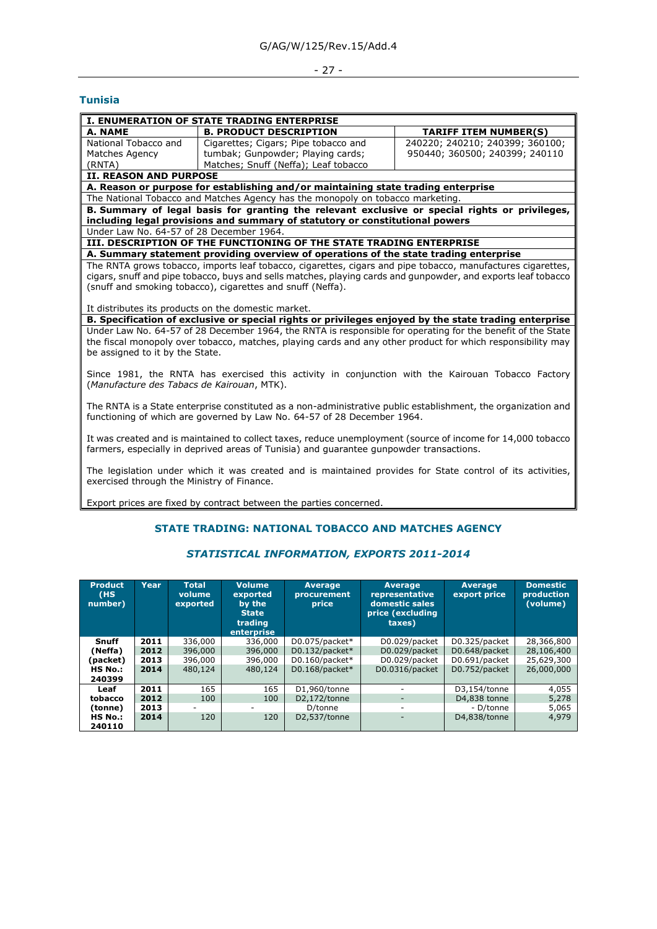# - 27 -

## <span id="page-26-0"></span>**Tunisia**

| <b>B. PRODUCT DESCRIPTION</b><br>A. NAME<br><b>TARIFF ITEM NUMBER(S)</b><br>240220; 240210; 240399; 360100;<br>National Tobacco and<br>Cigarettes; Cigars; Pipe tobacco and<br>tumbak; Gunpowder; Playing cards;<br>950440; 360500; 240399; 240110<br>Matches Agency<br>Matches; Snuff (Neffa); Leaf tobacco<br>(RNTA)<br><b>II. REASON AND PURPOSE</b><br>A. Reason or purpose for establishing and/or maintaining state trading enterprise<br>The National Tobacco and Matches Agency has the monopoly on tobacco marketing.<br>B. Summary of legal basis for granting the relevant exclusive or special rights or privileges, |  |  |  |  |
|----------------------------------------------------------------------------------------------------------------------------------------------------------------------------------------------------------------------------------------------------------------------------------------------------------------------------------------------------------------------------------------------------------------------------------------------------------------------------------------------------------------------------------------------------------------------------------------------------------------------------------|--|--|--|--|
|                                                                                                                                                                                                                                                                                                                                                                                                                                                                                                                                                                                                                                  |  |  |  |  |
|                                                                                                                                                                                                                                                                                                                                                                                                                                                                                                                                                                                                                                  |  |  |  |  |
|                                                                                                                                                                                                                                                                                                                                                                                                                                                                                                                                                                                                                                  |  |  |  |  |
|                                                                                                                                                                                                                                                                                                                                                                                                                                                                                                                                                                                                                                  |  |  |  |  |
|                                                                                                                                                                                                                                                                                                                                                                                                                                                                                                                                                                                                                                  |  |  |  |  |
|                                                                                                                                                                                                                                                                                                                                                                                                                                                                                                                                                                                                                                  |  |  |  |  |
|                                                                                                                                                                                                                                                                                                                                                                                                                                                                                                                                                                                                                                  |  |  |  |  |
|                                                                                                                                                                                                                                                                                                                                                                                                                                                                                                                                                                                                                                  |  |  |  |  |
| including legal provisions and summary of statutory or constitutional powers                                                                                                                                                                                                                                                                                                                                                                                                                                                                                                                                                     |  |  |  |  |
| Under Law No. 64-57 of 28 December 1964.                                                                                                                                                                                                                                                                                                                                                                                                                                                                                                                                                                                         |  |  |  |  |
| III. DESCRIPTION OF THE FUNCTIONING OF THE STATE TRADING ENTERPRISE                                                                                                                                                                                                                                                                                                                                                                                                                                                                                                                                                              |  |  |  |  |
| A. Summary statement providing overview of operations of the state trading enterprise                                                                                                                                                                                                                                                                                                                                                                                                                                                                                                                                            |  |  |  |  |
| The RNTA grows tobacco, imports leaf tobacco, cigarettes, cigars and pipe tobacco, manufactures cigarettes,                                                                                                                                                                                                                                                                                                                                                                                                                                                                                                                      |  |  |  |  |
| cigars, snuff and pipe tobacco, buys and sells matches, playing cards and gunpowder, and exports leaf tobacco                                                                                                                                                                                                                                                                                                                                                                                                                                                                                                                    |  |  |  |  |
| (snuff and smoking tobacco), cigarettes and snuff (Neffa).                                                                                                                                                                                                                                                                                                                                                                                                                                                                                                                                                                       |  |  |  |  |
|                                                                                                                                                                                                                                                                                                                                                                                                                                                                                                                                                                                                                                  |  |  |  |  |
| It distributes its products on the domestic market.                                                                                                                                                                                                                                                                                                                                                                                                                                                                                                                                                                              |  |  |  |  |
| B. Specification of exclusive or special rights or privileges enjoyed by the state trading enterprise                                                                                                                                                                                                                                                                                                                                                                                                                                                                                                                            |  |  |  |  |
| Under Law No. 64-57 of 28 December 1964, the RNTA is responsible for operating for the benefit of the State                                                                                                                                                                                                                                                                                                                                                                                                                                                                                                                      |  |  |  |  |
| the fiscal monopoly over tobacco, matches, playing cards and any other product for which responsibility may                                                                                                                                                                                                                                                                                                                                                                                                                                                                                                                      |  |  |  |  |
| be assigned to it by the State.                                                                                                                                                                                                                                                                                                                                                                                                                                                                                                                                                                                                  |  |  |  |  |
|                                                                                                                                                                                                                                                                                                                                                                                                                                                                                                                                                                                                                                  |  |  |  |  |
| Since 1981, the RNTA has exercised this activity in conjunction with the Kairouan Tobacco Factory<br>(Manufacture des Tabacs de Kairouan, MTK).                                                                                                                                                                                                                                                                                                                                                                                                                                                                                  |  |  |  |  |
|                                                                                                                                                                                                                                                                                                                                                                                                                                                                                                                                                                                                                                  |  |  |  |  |
| The RNTA is a State enterprise constituted as a non-administrative public establishment, the organization and                                                                                                                                                                                                                                                                                                                                                                                                                                                                                                                    |  |  |  |  |
| functioning of which are governed by Law No. 64-57 of 28 December 1964.                                                                                                                                                                                                                                                                                                                                                                                                                                                                                                                                                          |  |  |  |  |
|                                                                                                                                                                                                                                                                                                                                                                                                                                                                                                                                                                                                                                  |  |  |  |  |
| It was created and is maintained to collect taxes, reduce unemployment (source of income for 14,000 tobacco                                                                                                                                                                                                                                                                                                                                                                                                                                                                                                                      |  |  |  |  |
| farmers, especially in deprived areas of Tunisia) and guarantee gunpowder transactions.                                                                                                                                                                                                                                                                                                                                                                                                                                                                                                                                          |  |  |  |  |
|                                                                                                                                                                                                                                                                                                                                                                                                                                                                                                                                                                                                                                  |  |  |  |  |
| The legislation under which it was created and is maintained provides for State control of its activities,                                                                                                                                                                                                                                                                                                                                                                                                                                                                                                                       |  |  |  |  |
| exercised through the Ministry of Finance.                                                                                                                                                                                                                                                                                                                                                                                                                                                                                                                                                                                       |  |  |  |  |
|                                                                                                                                                                                                                                                                                                                                                                                                                                                                                                                                                                                                                                  |  |  |  |  |
| Export prices are fixed by contract between the parties concerned.                                                                                                                                                                                                                                                                                                                                                                                                                                                                                                                                                               |  |  |  |  |
|                                                                                                                                                                                                                                                                                                                                                                                                                                                                                                                                                                                                                                  |  |  |  |  |

## **STATE TRADING: NATIONAL TOBACCO AND MATCHES AGENCY**

## *STATISTICAL INFORMATION, EXPORTS 2011-2014*

| <b>Product</b><br>(HS)<br>number) | Year | <b>Total</b><br>volume<br>exported | <b>Volume</b><br>exported<br>by the<br><b>State</b><br>trading<br>enterprise | <b>Average</b><br>procurement<br>price | <b>Average</b><br>representative<br>domestic sales<br>price (excluding<br>taxes) | <b>Average</b><br>export price | <b>Domestic</b><br>production<br>(volume) |
|-----------------------------------|------|------------------------------------|------------------------------------------------------------------------------|----------------------------------------|----------------------------------------------------------------------------------|--------------------------------|-------------------------------------------|
| Snuff                             | 2011 | 336,000                            | 336,000                                                                      | D0.075/packet*                         | D0.029/packet                                                                    | D0.325/packet                  | 28,366,800                                |
| (Neffa)                           | 2012 | 396,000                            | 396,000                                                                      | D0.132/packet*                         | D0.029/packet                                                                    | D0.648/packet                  | 28,106,400                                |
| (packet)                          | 2013 | 396,000                            | 396,000                                                                      | D0.160/packet*                         | D0.029/packet                                                                    | D0.691/packet                  | 25,629,300                                |
| HS No.:                           | 2014 | 480,124                            | 480,124                                                                      | D0.168/packet*                         | D0.0316/packet                                                                   | D0.752/packet                  | 26,000,000                                |
| 240399                            |      |                                    |                                                                              |                                        |                                                                                  |                                |                                           |
| Leaf                              | 2011 | 165                                | 165                                                                          | D1,960/tonne                           |                                                                                  | D3,154/tonne                   | 4,055                                     |
| tobacco                           | 2012 | 100                                | 100                                                                          | D2,172/tonne                           | $\overline{\phantom{a}}$                                                         | D4,838 tonne                   | 5,278                                     |
| (tonne)                           | 2013 |                                    |                                                                              | D/tonne                                | ۰                                                                                | - D/tonne                      | 5,065                                     |
| HS No.:                           | 2014 | 120                                | 120                                                                          | D2.537/tonne                           |                                                                                  | D4,838/tonne                   | 4,979                                     |
| 240110                            |      |                                    |                                                                              |                                        |                                                                                  |                                |                                           |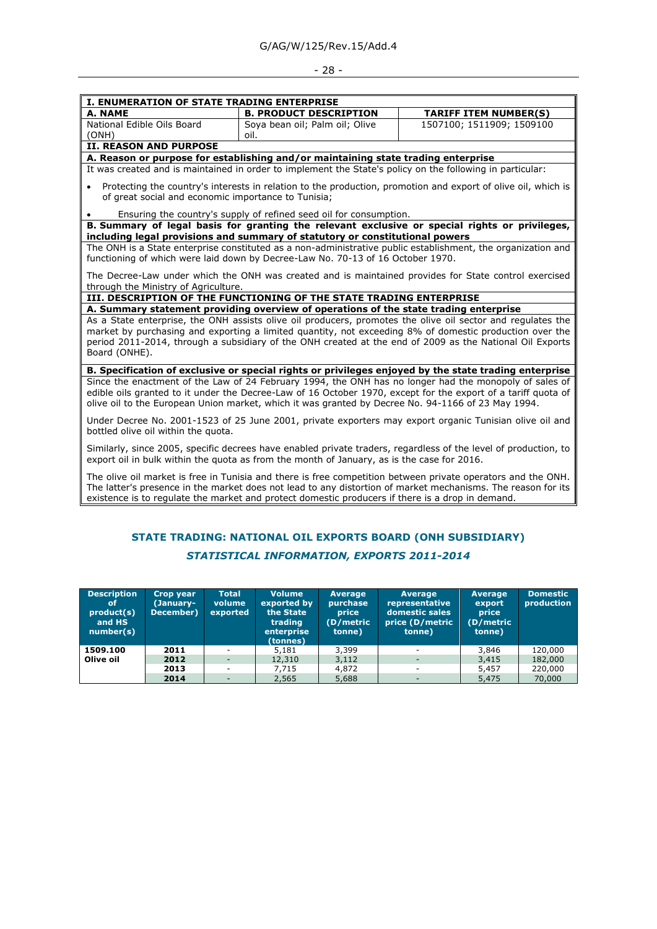## - 28 -

| I. ENUMERATION OF STATE TRADING ENTERPRISE                                                                                                                                                                                                                                                                                                          |                                                                                                           |                                                                                                                                                                                                                              |  |  |  |
|-----------------------------------------------------------------------------------------------------------------------------------------------------------------------------------------------------------------------------------------------------------------------------------------------------------------------------------------------------|-----------------------------------------------------------------------------------------------------------|------------------------------------------------------------------------------------------------------------------------------------------------------------------------------------------------------------------------------|--|--|--|
| A. NAME                                                                                                                                                                                                                                                                                                                                             | <b>B. PRODUCT DESCRIPTION</b>                                                                             | <b>TARIFF ITEM NUMBER(S)</b>                                                                                                                                                                                                 |  |  |  |
| National Edible Oils Board<br>(ONH)                                                                                                                                                                                                                                                                                                                 | Soya bean oil; Palm oil; Olive<br>oil.                                                                    | 1507100; 1511909; 1509100                                                                                                                                                                                                    |  |  |  |
| <b>II. REASON AND PURPOSE</b>                                                                                                                                                                                                                                                                                                                       |                                                                                                           |                                                                                                                                                                                                                              |  |  |  |
|                                                                                                                                                                                                                                                                                                                                                     | A. Reason or purpose for establishing and/or maintaining state trading enterprise                         |                                                                                                                                                                                                                              |  |  |  |
|                                                                                                                                                                                                                                                                                                                                                     | It was created and is maintained in order to implement the State's policy on the following in particular: |                                                                                                                                                                                                                              |  |  |  |
| $\bullet$<br>of great social and economic importance to Tunisia;                                                                                                                                                                                                                                                                                    |                                                                                                           | Protecting the country's interests in relation to the production, promotion and export of olive oil, which is                                                                                                                |  |  |  |
|                                                                                                                                                                                                                                                                                                                                                     | Ensuring the country's supply of refined seed oil for consumption.                                        |                                                                                                                                                                                                                              |  |  |  |
|                                                                                                                                                                                                                                                                                                                                                     |                                                                                                           | B. Summary of legal basis for granting the relevant exclusive or special rights or privileges,                                                                                                                               |  |  |  |
|                                                                                                                                                                                                                                                                                                                                                     | including legal provisions and summary of statutory or constitutional powers                              |                                                                                                                                                                                                                              |  |  |  |
|                                                                                                                                                                                                                                                                                                                                                     | functioning of which were laid down by Decree-Law No. 70-13 of 16 October 1970.                           | The ONH is a State enterprise constituted as a non-administrative public establishment, the organization and                                                                                                                 |  |  |  |
| through the Ministry of Agriculture.                                                                                                                                                                                                                                                                                                                |                                                                                                           | The Decree-Law under which the ONH was created and is maintained provides for State control exercised                                                                                                                        |  |  |  |
|                                                                                                                                                                                                                                                                                                                                                     | III. DESCRIPTION OF THE FUNCTIONING OF THE STATE TRADING ENTERPRISE                                       |                                                                                                                                                                                                                              |  |  |  |
|                                                                                                                                                                                                                                                                                                                                                     | A. Summary statement providing overview of operations of the state trading enterprise                     |                                                                                                                                                                                                                              |  |  |  |
| As a State enterprise, the ONH assists olive oil producers, promotes the olive oil sector and requlates the<br>market by purchasing and exporting a limited quantity, not exceeding 8% of domestic production over the<br>period 2011-2014, through a subsidiary of the ONH created at the end of 2009 as the National Oil Exports<br>Board (ONHE). |                                                                                                           |                                                                                                                                                                                                                              |  |  |  |
|                                                                                                                                                                                                                                                                                                                                                     |                                                                                                           | B. Specification of exclusive or special rights or privileges enjoyed by the state trading enterprise                                                                                                                        |  |  |  |
|                                                                                                                                                                                                                                                                                                                                                     | olive oil to the European Union market, which it was granted by Decree No. 94-1166 of 23 May 1994.        | Since the enactment of the Law of 24 February 1994, the ONH has no longer had the monopoly of sales of<br>edible oils granted to it under the Decree-Law of 16 October 1970, except for the export of a tariff quota of      |  |  |  |
| Under Decree No. 2001-1523 of 25 June 2001, private exporters may export organic Tunisian olive oil and<br>bottled olive oil within the quota.                                                                                                                                                                                                      |                                                                                                           |                                                                                                                                                                                                                              |  |  |  |
| Similarly, since 2005, specific decrees have enabled private traders, regardless of the level of production, to<br>export oil in bulk within the quota as from the month of January, as is the case for 2016.                                                                                                                                       |                                                                                                           |                                                                                                                                                                                                                              |  |  |  |
|                                                                                                                                                                                                                                                                                                                                                     | existence is to regulate the market and protect domestic producers if there is a drop in demand.          | The olive oil market is free in Tunisia and there is free competition between private operators and the ONH.<br>The latter's presence in the market does not lead to any distortion of market mechanisms. The reason for its |  |  |  |

## **STATE TRADING: NATIONAL OIL EXPORTS BOARD (ONH SUBSIDIARY)**

II

| <b>Description</b><br>οt<br>product(s)<br>and HS<br>number(s) | Crop year<br>(January-<br>December) | <b>Total</b><br>volume<br>exported | <b>Volume</b><br>exported by<br>the State<br>trading<br>enterprise<br>(tonnes) | Average<br>purchase<br><b>price</b><br>(D/metric<br>tonne) | <b>Average</b><br>representative<br>domestic sales<br>price (D/metric<br>tonne) | Average<br>export<br><b>price</b><br>(D/metric<br>tonne) | <b>Domestic</b><br>production |
|---------------------------------------------------------------|-------------------------------------|------------------------------------|--------------------------------------------------------------------------------|------------------------------------------------------------|---------------------------------------------------------------------------------|----------------------------------------------------------|-------------------------------|
| 1509.100                                                      | 2011                                | $\sim$                             | 5,181                                                                          | 3,399                                                      | $\overline{\phantom{a}}$                                                        | 3,846                                                    | 120,000                       |
| Olive oil                                                     | 2012                                | $\overline{\phantom{a}}$           | 12,310                                                                         | 3,112                                                      | $\overline{a}$                                                                  | 3,415                                                    | 182,000                       |
|                                                               | 2013                                | $\overline{\phantom{a}}$           | 7.715                                                                          | 4,872                                                      | $\overline{\phantom{a}}$                                                        | 5,457                                                    | 220,000                       |
|                                                               | 2014                                | $\overline{\phantom{a}}$           | 2,565                                                                          | 5,688                                                      |                                                                                 | 5,475                                                    | 70,000                        |

## *STATISTICAL INFORMATION, EXPORTS 2011-2014*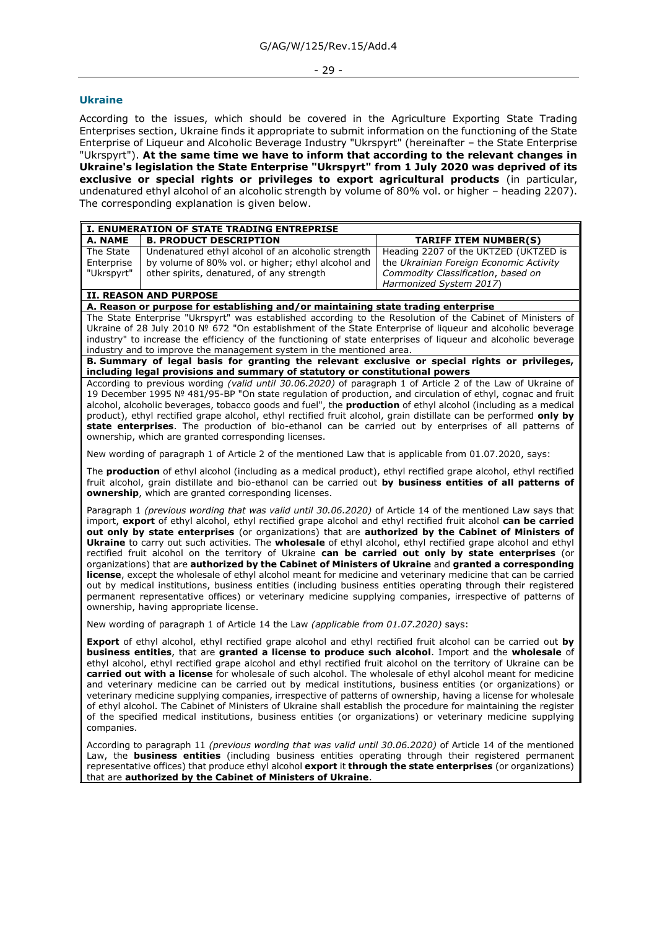#### - 29 -

#### <span id="page-28-0"></span>**Ukraine**

According to the issues, which should be covered in the Agriculture Exporting State Trading Enterprises section, Ukraine finds it appropriate to submit information on the functioning of the State Enterprise of Liqueur and Alcoholic Beverage Industry "Ukrspyrt" (hereinafter – the State Enterprise "Ukrspyrt"). **At the same time we have to inform that according to the relevant changes in Ukraine's legislation the State Enterprise "Ukrspyrt" from 1 July 2020 was deprived of its exclusive or special rights or privileges to export agricultural products** (in particular, undenatured ethyl alcohol of an alcoholic strength by volume of 80% vol. or higher – heading 2207). The corresponding explanation is given below.

| I. ENUMERATION OF STATE TRADING ENTREPRISE |                                                    |                                         |  |  |  |  |
|--------------------------------------------|----------------------------------------------------|-----------------------------------------|--|--|--|--|
| A. NAME                                    | <b>B. PRODUCT DESCRIPTION</b>                      | <b>TARIFF ITEM NUMBER(S)</b>            |  |  |  |  |
| The State                                  | Undenatured ethyl alcohol of an alcoholic strength | Heading 2207 of the UKTZED (UKTZED is   |  |  |  |  |
| Enterprise                                 | by volume of 80% vol. or higher; ethyl alcohol and | the Ukrainian Foreign Economic Activity |  |  |  |  |
| "Ukrspyrt"                                 | other spirits, denatured, of any strength          | Commodity Classification, based on      |  |  |  |  |
|                                            |                                                    | Harmonized System 2017)                 |  |  |  |  |

## **II. REASON AND PURPOSE**

**A. Reason or purpose for establishing and/or maintaining state trading enterprise**

The State Enterprise "Ukrspyrt" was established according to the Resolution of the Cabinet of Ministers of Ukraine of 28 July 2010 № 672 "On establishment of the State Enterprise of liqueur and alcoholic beverage industry" to increase the efficiency of the functioning of state enterprises of liqueur and alcoholic beverage industry and to improve the management system in the mentioned area.

**B. Summary of legal basis for granting the relevant exclusive or special rights or privileges, including legal provisions and summary of statutory or constitutional powers**

According to previous wording *(valid until 30.06.2020)* of paragraph 1 of Article 2 of the Law of Ukraine of 19 December 1995 № 481/95-ВР "On state regulation of production, and circulation of ethyl, cognac and fruit alcohol, alcoholic beverages, tobacco goods and fuel", the **production** of ethyl alcohol (including as a medical product), ethyl rectified grape alcohol, ethyl rectified fruit alcohol, grain distillate can be performed **only by state enterprises**. The production of bio-ethanol can be carried out by enterprises of all patterns of ownership, which are granted corresponding licenses.

New wording of paragraph 1 of Article 2 of the mentioned Law that is applicable from 01.07.2020, says:

The **production** of ethyl alcohol (including as a medical product), ethyl rectified grape alcohol, ethyl rectified fruit alcohol, grain distillate and bio-ethanol can be carried out **by business entities of all patterns of ownership**, which are granted corresponding licenses.

Paragraph 1 *(previous wording that was valid until 30.06.2020)* of Article 14 of the mentioned Law says that import, **export** of ethyl alcohol, ethyl rectified grape alcohol and ethyl rectified fruit alcohol **can be carried out only by state enterprises** (or organizations) that are **authorized by the Cabinet of Ministers of Ukraine** to carry out such activities. The **wholesale** of ethyl alcohol, ethyl rectified grape alcohol and ethyl rectified fruit alcohol on the territory of Ukraine **can be carried out only by state enterprises** (or organizations) that are **authorized by the Cabinet of Ministers of Ukraine** and **granted a corresponding license**, except the wholesale of ethyl alcohol meant for medicine and veterinary medicine that can be carried out by medical institutions, business entities (including business entities operating through their registered permanent representative offices) or veterinary medicine supplying companies, irrespective of patterns of ownership, having appropriate license.

New wording of paragraph 1 of Article 14 the Law *(applicable from 01.07.2020)* says:

**Export** of ethyl alcohol, ethyl rectified grape alcohol and ethyl rectified fruit alcohol can be carried out **by business entities**, that are **granted a license to produce such alcohol**. Import and the **wholesale** of ethyl alcohol, ethyl rectified grape alcohol and ethyl rectified fruit alcohol on the territory of Ukraine can be **carried out with a license** for wholesale of such alcohol. The wholesale of ethyl alcohol meant for medicine and veterinary medicine can be carried out by medical institutions, business entities (or organizations) or veterinary medicine supplying companies, irrespective of patterns of ownership, having a license for wholesale of ethyl alcohol. The Cabinet of Ministers of Ukraine shall establish the procedure for maintaining the register of the specified medical institutions, business entities (or organizations) or veterinary medicine supplying companies.

According to paragraph 11 *(previous wording that was valid until 30.06.2020)* of Article 14 of the mentioned Law, the **business entities** (including business entities operating through their registered permanent representative offices) that produce ethyl alcohol **export** it **through the state enterprises** (or organizations) that are **authorized by the Cabinet of Ministers of Ukraine**.